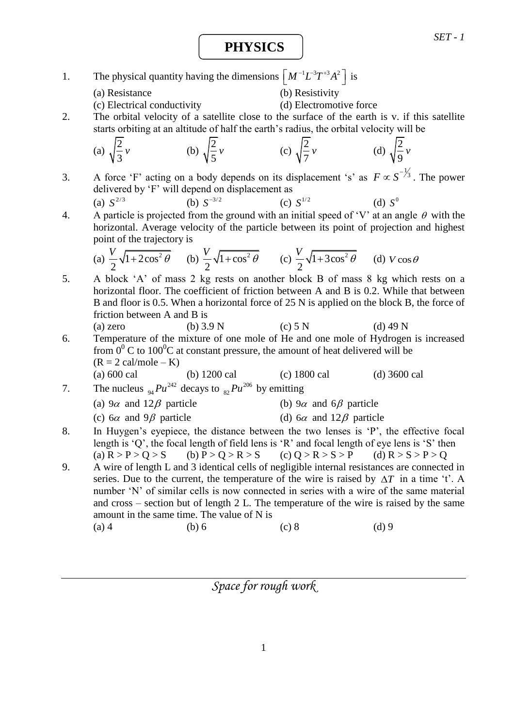**PHYSICS**

- 1. The physical quantity having the dimensions  $\left[M^{-1}L^{-3}T^{+3}A^2\right]$  is
	- (a) Resistance (b) Resistivity

(c) Electrical conductivity (d) Electromotive force

2. The orbital velocity of a satellite close to the surface of the earth is v. if this satellite starts orbiting at an altitude of half the earth's radius, the orbital velocity will be

(a) 
$$
\sqrt{\frac{2}{3}}\nu
$$
 (b)  $\sqrt{\frac{2}{5}}\nu$  (c)  $\sqrt{\frac{2}{7}}\nu$  (d)  $\sqrt{\frac{2}{9}}\nu$ 

3. A force 'F' acting on a body depends on its displacement 's' as  $F \propto S^{-\frac{1}{3}}$ . The power delivered by 'F' will depend on displacement as

(a) 
$$
S^{2/3}
$$
 (b)  $S^{-3/2}$  (c)  $S^{1/2}$  (d)  $S^0$ 

4. A particle is projected from the ground with an initial speed of 'V' at an angle  $\theta$  with the horizontal. Average velocity of the particle between its point of projection and highest point of the trajectory is

(a) 
$$
\frac{V}{2}\sqrt{1+2\cos^2{\theta}}
$$
 (b)  $\frac{V}{2}\sqrt{1+\cos^2{\theta}}$  (c)  $\frac{V}{2}\sqrt{1+3\cos^2{\theta}}$  (d)  $V\cos{\theta}$ 

- 5. A block 'A' of mass 2 kg rests on another block B of mass 8 kg which rests on a horizontal floor. The coefficient of friction between A and B is 0.2. While that between B and floor is 0.5. When a horizontal force of 25 N is applied on the block B, the force of friction between A and B is
- (a) zero (b)  $3.9 \text{ N}$  (c)  $5 \text{ N}$  (d)  $49 \text{ N}$ 6. Temperature of the mixture of one mole of He and one mole of Hydrogen is increased from  $0^0$  C to 100<sup>0</sup>C at constant pressure, the amount of heat delivered will be  $(R = 2 \text{ cal/mole} - K)$ (a) 600 cal (b) 1200 cal (c) 1800 cal (d) 3600 cal
- 7. The nucleus <sub>94</sub>  $Pu^{242}$  decays to  $_{82}Pu^{206}$  by emitting (a)  $9\alpha$  and  $12\beta$  particle (b) 9 $\alpha$  and 6 $\beta$  particle
	- (c)  $6\alpha$  and  $9\beta$  particle (d)  $6\alpha$  and  $12\beta$  particle
- 8. In Huygen's eyepiece, the distance between the two lenses is 'P', the effective focal length is 'Q', the focal length of field lens is 'R' and focal length of eye lens is 'S' then (a)  $R > P > Q > S$  (b)  $P > Q > R > S$  (c)  $Q > R > S > P$  (d)  $R > S > P > Q$
- 9. A wire of length L and 3 identical cells of negligible internal resistances are connected in series. Due to the current, the temperature of the wire is raised by  $\Delta T$  in a time 't'. A number 'N' of similar cells is now connected in series with a wire of the same material and cross – section but of length 2 L. The temperature of the wire is raised by the same amount in the same time. The value of N is (a) 4 (b) 6 (c) 8 (d) 9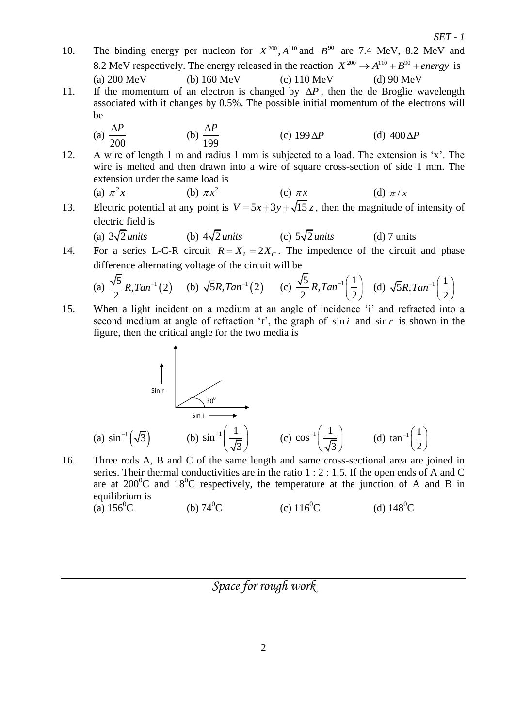10. The binding energy per nucleon for  $X^{200}$ ,  $A^{110}$  and  $B^{90}$  are 7.4 MeV, 8.2 MeV and 8.2 MeV respectively. The energy released in the reaction  $X^{200} \rightarrow A^{110} + B^{90} + energy$  is (a) 200 MeV (b) 160 MeV (c) 110 MeV (d) 90 MeV 11. If the momentum of an electron is changed by  $\Delta P$ , then the de Broglie wavelength

*SET - 1*

- associated with it changes by 0.5%. The possible initial momentum of the electrons will be
	- (a) 200 *P* (b) 199  $\Delta P$ (c)  $199\Delta P$ (d)  $400\Delta P$
- 12. A wire of length 1 m and radius 1 mm is subjected to a load. The extension is 'x'. The wire is melted and then drawn into a wire of square cross-section of side 1 mm. The extension under the same load is

(a) 
$$
\pi^2 x
$$
 (b)  $\pi x^2$  (c)  $\pi x$  (d)  $\pi / x$ 

- 13. Electric potential at any point is  $V = 5x + 3y + \sqrt{15}z$ , then the magnitude of intensity of electric field is
	- (a)  $3\sqrt{2}$  *units* (b)  $4\sqrt{2}$ *units*  $(c)$  5 $\sqrt{2}$  *units* (d) 7 units
- 14. For a series L-C-R circuit  $R = X_L = 2X_C$ . The impedence of the circuit and phase difference alternating voltage of the circuit will be

(a) 
$$
\frac{\sqrt{5}}{2}R
$$
,  $Tan^{-1}(2)$  (b)  $\sqrt{5}R$ ,  $Tan^{-1}(2)$  (c)  $\frac{\sqrt{5}}{2}R$ ,  $Tan^{-1}(\frac{1}{2})$  (d)  $\sqrt{5}R$ ,  $Tan^{-1}(\frac{1}{2})$ 

15. When a light incident on a medium at an angle of incidence 'i' and refracted into a second medium at angle of refraction 'r', the graph of  $\sin i$  and  $\sin r$  is shown in the figure, then the critical angle for the two media is

(a) 
$$
\sin^{-1}(\sqrt{3})
$$
 (b)  $\sin^{-1}(\frac{1}{\sqrt{3}})$  (c)  $\cos^{-1}(\frac{1}{\sqrt{3}})$  (d)  $\tan^{-1}(\frac{1}{2})$ 

16. Three rods A, B and C of the same length and same cross-sectional area are joined in series. Their thermal conductivities are in the ratio 1 : 2 : 1.5. If the open ends of A and C are at  $200^{\circ}$ C and  $18^{\circ}$ C respectively, the temperature at the junction of A and B in equilibrium is (a)  $156^{\circ}$ C (b)  $74^{\circ}$ C (c)  $116^{\circ}$ C (d)  $148^{\circ}$ C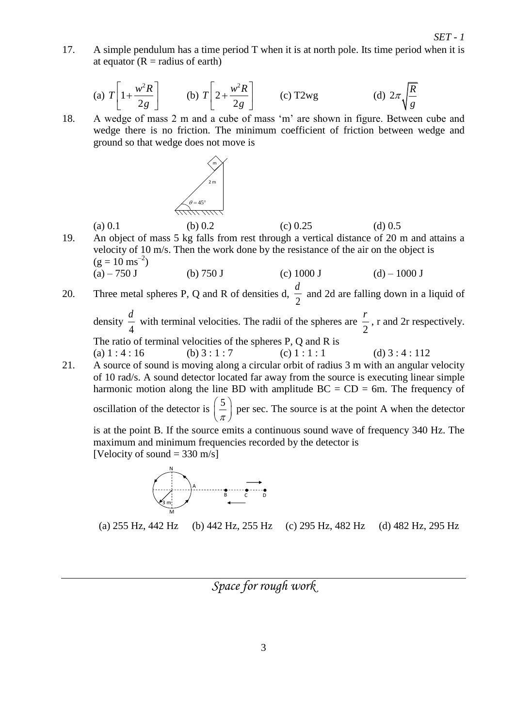17. A simple pendulum has a time period T when it is at north pole. Its time period when it is at equator  $(R = radius of earth)$ 

(a) 
$$
T\left[1+\frac{w^2R}{2g}\right]
$$
 (b)  $T\left[2+\frac{w^2R}{2g}\right]$  (c) T2wg (d)  $2\pi\sqrt{\frac{R}{g}}$ 

18. A wedge of mass 2 m and a cube of mass 'm' are shown in figure. Between cube and wedge there is no friction. The minimum coefficient of friction between wedge and ground so that wedge does not move is



(a) 0.1 (b) 0.2 (c) 0.25 (d) 0.5 19. An object of mass 5 kg falls from rest through a vertical distance of 20 m and attains a velocity of 10 m/s. Then the work done by the resistance of the air on the object is  $(g = 10 \text{ ms}^{-2})$ (a) – 750 J (b) 750 J (c) 1000 J (d) – 1000 J

20. Three metal spheres P, Q and R of densities d, 2  $\frac{d}{\infty}$  and 2d are falling down in a liquid of

density 4  $\frac{d}{t}$  with terminal velocities. The radii of the spheres are 2 *r* , r and 2r respectively. The ratio of terminal velocities of the spheres P, Q and R is

- (a)  $1:4:16$  (b)  $3:1:7$  (c)  $1:1:1$  (d)  $3:4:112$
- 21. A source of sound is moving along a circular orbit of radius 3 m with an angular velocity of 10 rad/s. A sound detector located far away from the source is executing linear simple harmonic motion along the line BD with amplitude  $BC = CD = 6$ m. The frequency of oscillation of the detector is  $\left( \frac{5}{2} \right)$  $\left(\frac{5}{\pi}\right)$  per sec. The source is at the point A when the detector

is at the point B. If the source emits a continuous sound wave of frequency 340 Hz. The maximum and minimum frequencies recorded by the detector is [Velocity of sound  $=$  330 m/s]



(a) 255 Hz, 442 Hz (b) 442 Hz, 255 Hz (c) 295 Hz, 482 Hz (d) 482 Hz, 295 Hz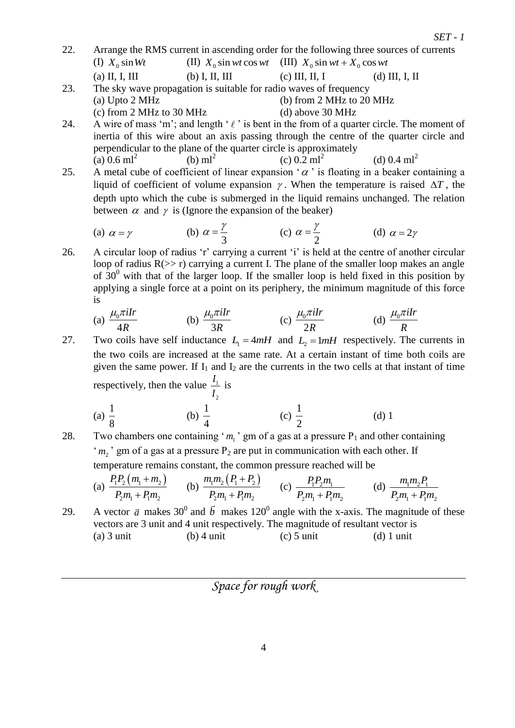- 22. Arrange the RMS current in ascending order for the following three sources of currents (I)  $X_0 \sin Wt$ (II)  $X_0$  sin wt cos wt (III)  $X_0$  sin wt +  $X_0$  cos wt (a) II, I, III (b) I, II, III (c) III, II, I (d) III, I, II
- 23. The sky wave propagation is suitable for radio waves of frequency (a) Upto 2 MHz (b) from 2 MHz to 20 MHz (c) from  $2 \text{ MHz}$  to  $30 \text{ MHz}$  (d) above  $30 \text{ MHz}$
- 24. A wire of mass 'm'; and length ' $\ell$ ' is bent in the from of a quarter circle. The moment of inertia of this wire about an axis passing through the centre of the quarter circle and perpendicular to the plane of the quarter circle is approximately (a)  $0.6$  ml<sup>2</sup> (b)  $ml^2$ (c)  $0.2 \text{ ml}^2$ (d)  $0.4$  ml<sup>2</sup>
- 25. A metal cube of coefficient of linear expansion ' $\alpha$ ' is floating in a beaker containing a liquid of coefficient of volume expansion  $\gamma$ . When the temperature is raised  $\Delta T$ , the depth upto which the cube is submerged in the liquid remains unchanged. The relation between  $\alpha$  and  $\gamma$  is (Ignore the expansion of the beaker)

(a) 
$$
\alpha = \gamma
$$
 \t\t (b)  $\alpha = \frac{\gamma}{3}$  \t\t (c)  $\alpha = \frac{\gamma}{2}$  \t\t (d)  $\alpha = 2\gamma$ 

26. A circular loop of radius 'r' carrying a current 'i' is held at the centre of another circular loop of radius  $R(\gg r)$  carrying a current I. The plane of the smaller loop makes an angle of  $30<sup>0</sup>$  with that of the larger loop. If the smaller loop is held fixed in this position by applying a single force at a point on its periphery, the minimum magnitude of this force is

(a) 
$$
\frac{\mu_0 \pi i Ir}{4R}
$$
 (b)  $\frac{\mu_0 \pi i Ir}{3R}$  (c)  $\frac{\mu_0 \pi i Ir}{2R}$  (d)  $\frac{\mu_0 \pi i Ir}{R}$ 

- 27. Two coils have self inductance  $L_1 = 4mH$  and  $L_2 = 1mH$  respectively. The currents in the two coils are increased at the same rate. At a certain instant of time both coils are given the same power. If  $I_1$  and  $I_2$  are the currents in the two cells at that instant of time respectively, then the value  $\frac{1}{1}$ 2 *I I* is
	- (a) 1 8 (b) 1 4 (c) 1 2 (d) 1
- 28. Two chambers one containing ' $m_1$ ' gm of a gas at a pressure  $P_1$  and other containing ' $m_2$ ' gm of a gas at a pressure  $P_2$  are put in communication with each other. If temperature remains constant, the common pressure reached will be

(a) 
$$
\frac{P_1 P_2 (m_1 + m_2)}{P_2 m_1 + P_1 m_2}
$$
 (b)  $\frac{m_1 m_2 (P_1 + P_2)}{P_2 m_1 + P_1 m_2}$  (c)  $\frac{P_1 P_2 m_1}{P_2 m_1 + P_1 m_2}$  (d)  $\frac{m_1 m_2 P_1}{P_2 m_1 + P_1 m_2}$ 

29. A vector  $\vec{a}$  makes 30<sup>0</sup> and  $\vec{b}$  makes 120<sup>0</sup> angle with the x-axis. The magnitude of these vectors are 3 unit and 4 unit respectively. The magnitude of resultant vector is (a) 3 unit (b) 4 unit (c) 5 unit (d) 1 unit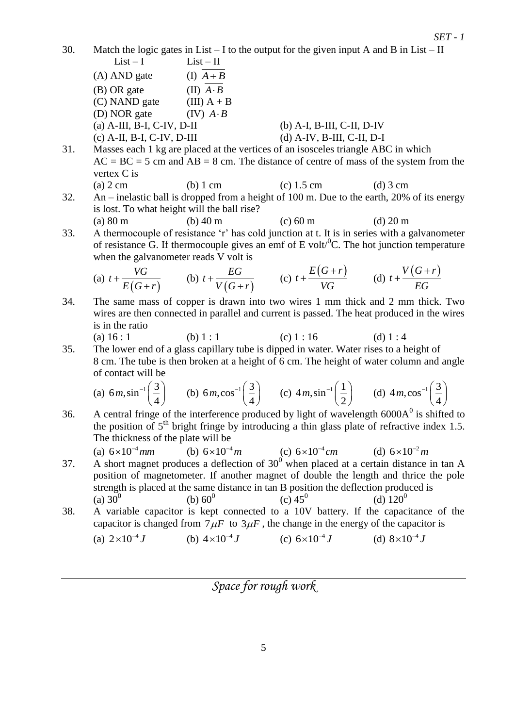30. Match the logic gates in List – I to the output for the given input A and B in List – II  $List - I$   $List - II$ 

 $(A)$  AND gate  $(I)$   $\overline{A+B}$  $(B)$  OR gate  $(II)$   $\overline{A \cdot B}$ (C) NAND gate (III)  $A + B$ (D) NOR gate  $(IV)$   $A \cdot B$ (a) A-III, B-I, C-IV, D-II (b) A-I, B-III, C-II, D-IV (c) A-II, B-I, C-IV, D-III (d) A-IV, B-III, C-II, D-I

31. Masses each 1 kg are placed at the vertices of an isosceles triangle ABC in which  $AC = BC = 5$  cm and  $AB = 8$  cm. The distance of centre of mass of the system from the vertex C is

- (a)  $2 \text{ cm}$  (b)  $1 \text{ cm}$  (c)  $1.5 \text{ cm}$  (d)  $3 \text{ cm}$ 32. An – inelastic ball is dropped from a height of 100 m. Due to the earth, 20% of its energy is lost. To what height will the ball rise?
- (a) 80 m (b) 40 m (c) 60 m (d) 20 m 33. A thermocouple of resistance 'r' has cold junction at t. It is in series with a galvanometer of resistance G. If thermocouple gives an emf of E volt<sup> $\textdegree$ </sup>C. The hot junction temperature when the galvanometer reads V volt is

(a) 
$$
t + \frac{VG}{E(G+r)}
$$
 (b)  $t + \frac{EG}{V(G+r)}$  (c)  $t + \frac{E(G+r)}{VG}$  (d)  $t + \frac{V(G+r)}{EG}$ 

34. The same mass of copper is drawn into two wires 1 mm thick and 2 mm thick. Two wires are then connected in parallel and current is passed. The heat produced in the wires is in the ratio

(a) 
$$
16:1
$$
 (b)  $1:1$  (c)  $1:16$  (d)  $1:4$ 

35. The lower end of a glass capillary tube is dipped in water. Water rises to a height of 8 cm. The tube is then broken at a height of 6 cm. The height of water column and angle of contact will be

(a) 
$$
6m, \sin^{-1}\left(\frac{3}{4}\right)
$$
 (b)  $6m, \cos^{-1}\left(\frac{3}{4}\right)$  (c)  $4m, \sin^{-1}\left(\frac{1}{2}\right)$  (d)  $4m, \cos^{-1}\left(\frac{3}{4}\right)$ 

- 36. A central fringe of the interference produced by light of wavelength  $6000A<sup>0</sup>$  is shifted to the position of  $5<sup>th</sup>$  bright fringe by introducing a thin glass plate of refractive index 1.5. The thickness of the plate will be
- (a)  $6 \times 10^{-4}$  *mm* (b)  $6 \times 10^{-4}$  *m* (c)  $6 \times 10^{-4}$  *cm* (d)  $6 \times 10^{-2}$  *m* 37. A short magnet produces a deflection of  $30^0$  when placed at a certain distance in tan A position of magnetometer. If another magnet of double the length and thrice the pole strength is placed at the same distance in tan B position the deflection produced is (a)  $30^0$ (b)  $60^0$ (c)  $45^0$ (d)  $120^0$
- 38. A variable capacitor is kept connected to a 10V battery. If the capacitance of the capacitor is changed from  $7\mu$ F to  $3\mu$ F, the change in the energy of the capacitor is

(a) 
$$
2 \times 10^{-4} J
$$
 (b)  $4 \times 10^{-4} J$  (c)  $6 \times 10^{-4} J$  (d)  $8 \times 10^{-4} J$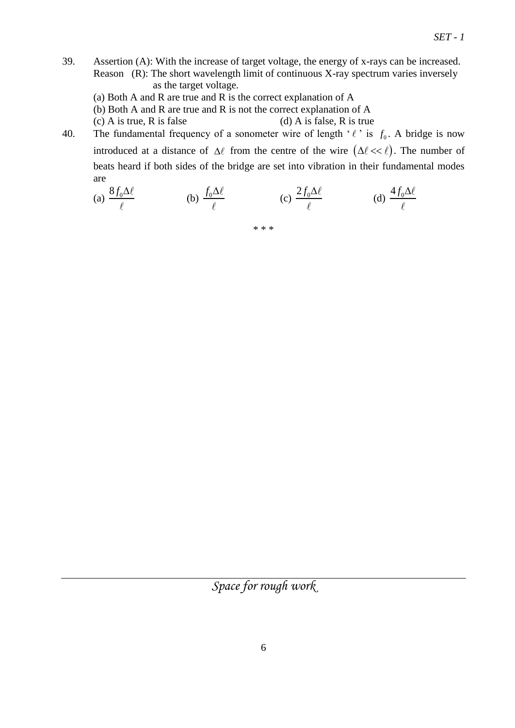- 39. Assertion (A): With the increase of target voltage, the energy of x-rays can be increased. Reason (R): The short wavelength limit of continuous X-ray spectrum varies inversely as the target voltage.
	- (a) Both A and R are true and R is the correct explanation of A
	- (b) Both A and R are true and R is not the correct explanation of A
	- (c) A is true, R is false  $(d)$  A is false, R is true
- 40. The fundamental frequency of a sonometer wire of length  $\ell$  is  $f_0$ . A bridge is now introduced at a distance of  $\Delta \ell$  from the centre of the wire  $(\Delta \ell \ll \ell)$ . The number of beats heard if both sides of the bridge are set into vibration in their fundamental modes are

(a) 
$$
\frac{8f_0\Delta\ell}{\ell}
$$
 (b)  $\frac{f_0\Delta\ell}{\ell}$  (c)  $\frac{2f_0\Delta\ell}{\ell}$  (d)  $\frac{4f_0\Delta\ell}{\ell}$ 

\* \* \*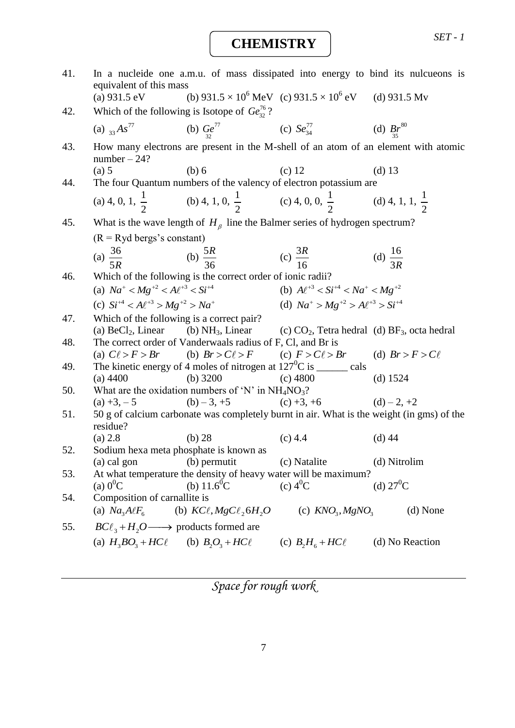## **CHEMISTRY**

| 41. | equivalent of this mass                                                                                                 |                              |                                                                       | In a nucleide one a.m.u. of mass dissipated into energy to bind its nulcueons is          |
|-----|-------------------------------------------------------------------------------------------------------------------------|------------------------------|-----------------------------------------------------------------------|-------------------------------------------------------------------------------------------|
|     | (a) $931.5 \text{ eV}$                                                                                                  |                              | (b) $931.5 \times 10^6$ MeV (c) $931.5 \times 10^6$ eV (d) $931.5$ Mv |                                                                                           |
| 42. | Which of the following is Isotope of $Ge_{32}^{76}$ ?                                                                   |                              |                                                                       |                                                                                           |
|     | (a) $_{33}As^{77}$                                                                                                      |                              | (b) $Ge_3^{77}$ (c) $Se_{34}^{77}$ (d) $Br^{80}$                      |                                                                                           |
| 43. | $number-24?$                                                                                                            |                              |                                                                       | How many electrons are present in the M-shell of an atom of an element with atomic        |
|     | (a) 5                                                                                                                   | (b) 6                        | $(c)$ 12                                                              | (d) $13$                                                                                  |
| 44. | The four Quantum numbers of the valency of electron potassium are                                                       |                              |                                                                       |                                                                                           |
|     | (a) 4, 0, 1, $\frac{1}{2}$ (b) 4, 1, 0, $\frac{1}{2}$ (c) 4, 0, 0, $\frac{1}{2}$ (d) 4, 1, 1, $\frac{1}{2}$             |                              |                                                                       |                                                                                           |
| 45. | What is the wave length of $H_{\beta}$ line the Balmer series of hydrogen spectrum?                                     |                              |                                                                       |                                                                                           |
|     | $(R = Ryd$ bergs's constant)                                                                                            |                              |                                                                       |                                                                                           |
|     | (a) $\frac{36}{5R}$ (b) $\frac{5R}{36}$ (c) $\frac{3R}{16}$                                                             |                              |                                                                       | (d) $\frac{16}{3R}$                                                                       |
|     |                                                                                                                         |                              |                                                                       |                                                                                           |
| 46. | Which of the following is the correct order of ionic radii?                                                             |                              |                                                                       |                                                                                           |
|     | (a) $Na^+ < Mg^{+2} < A\ell^{+3} < Si^{+4}$                                                                             |                              | (b) $A\ell^{+3} < Si^{+4} < Na^{+} < Mg^{+2}$                         |                                                                                           |
|     | (c) $Si^{+4} < A\ell^{+3} > Mg^{+2} > Na^{+}$                                                                           |                              | (d) $Na^+ > Mg^{+2} > A\ell^{+3} > Si^{+4}$                           |                                                                                           |
| 47. | Which of the following is a correct pair?                                                                               |                              |                                                                       |                                                                                           |
|     | (a) BeCl <sub>2</sub> , Linear (b) NH <sub>3</sub> , Linear (c) $CO_2$ , Tetra hedral (d) BF <sub>3</sub> , octa hedral |                              |                                                                       |                                                                                           |
| 48. | The correct order of Vanderwaals radius of F, Cl, and Br is                                                             |                              |                                                                       |                                                                                           |
|     | (a) $C\ell > F > Br$ (b) $Br > C\ell > F$ (c) $F > C\ell > Br$ (d) $Br > F > C\ell$                                     |                              |                                                                       |                                                                                           |
| 49. | The kinetic energy of 4 moles of nitrogen at $127^0C$ is _______ cals                                                   |                              |                                                                       |                                                                                           |
|     | $(a)$ 4400                                                                                                              | $(b)$ 3200                   | $(c)$ 4800                                                            | (d) $1524$                                                                                |
| 50. | What are the oxidation numbers of 'N' in $NH_4NO_3$ ?                                                                   |                              |                                                                       |                                                                                           |
|     | $(a) +3, -5$                                                                                                            | $(b) - 3, +5$                | (c) +3, +6<br>(d) -2, +2                                              |                                                                                           |
| 51. |                                                                                                                         |                              |                                                                       | 50 g of calcium carbonate was completely burnt in air. What is the weight (in gms) of the |
|     | residue?<br>(a) 2.8                                                                                                     | $(b)$ 28                     | $(c)$ 4.4                                                             | $(d)$ 44                                                                                  |
| 52. | Sodium hexa meta phosphate is known as                                                                                  |                              |                                                                       |                                                                                           |
|     | $(a)$ cal gon                                                                                                           | (b) permutit                 | (c) Natalite                                                          | (d) Nitrolim                                                                              |
| 53. | At what temperature the density of heavy water will be maximum?                                                         |                              |                                                                       |                                                                                           |
|     | (a) $0^0C$                                                                                                              | (b) $11.6^{\circ}$ C         | (c) $4^{0}C$                                                          | (d) $27^0C$                                                                               |
| 54. | Composition of carnallite is                                                                                            |                              |                                                                       |                                                                                           |
|     | (a) $Na3A\ell F6$                                                                                                       | (b) $KC\ell, MgC\ell, 6H, O$ | (c) $KNO3, MgNO3$                                                     | (d) None                                                                                  |
| 55. | $BC\ell_3 + H_2O \longrightarrow$ products formed are                                                                   |                              |                                                                       |                                                                                           |
|     | (a) $H_3BO_3 + HCl$ (b) $B_2O_3 + HCl$ (c) $B_2H_6 + HCl$ (d) No Reaction                                               |                              |                                                                       |                                                                                           |
|     |                                                                                                                         |                              |                                                                       |                                                                                           |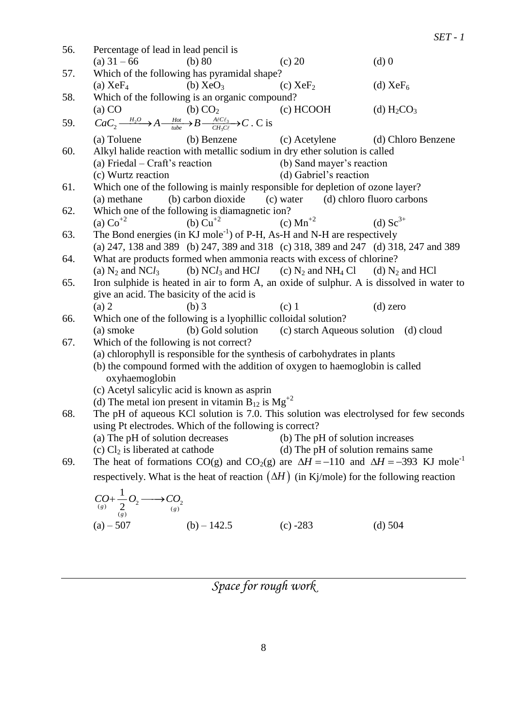56. Percentage of lead in lead pencil is (a)  $31 - 66$  (b)  $80$  (c)  $20$  (d) 0 57. Which of the following has pyramidal shape? (a)  $XeF_4$  (b)  $XeO_3$  (c)  $XeF_2$  (d)  $XeF_6$ 58. Which of the following is an organic compound? (a) CO (b) CO<sub>2</sub> (c) HCOOH (d) H<sub>2</sub>CO<sub>3</sub> 59.  $\frac{2^{O}}{2}$   $\Delta$   $\frac{P^{O}}{2}$   $\Delta$   $R$   $\frac{P^{O}}{2}$ (a) CO (b) CO<sub>2</sub><br>  $CaC_2 \xrightarrow{H_2O} A \xrightarrow{\text{Hot}} B \xrightarrow{\text{A/CC}\ell_3} C$ . C is (a) Toluene (b) Benzene (c) Acetylene (d) Chloro Benzene 60. Alkyl halide reaction with metallic sodium in dry ether solution is called (a) Friedal – Craft's reaction (b) Sand mayer's reaction (c) Wurtz reaction (d) Gabriel's reaction 61. Which one of the following is mainly responsible for depletion of ozone layer? (a) methane (b) carbon dioxide (c) water (d) chloro fluoro carbons 62. Which one of the following is diamagnetic ion?<br>(a)  $\text{Co}^{+2}$  (b)  $\text{Cu}^{+2}$  (c) (c)  $Mn^{+2}$  (d)  $Sc^{3+}$ 63. The Bond energies (in KJ mole<sup>-1</sup>) of P-H, As-H and N-H are respectively (a) 247, 138 and 389 (b) 247, 389 and 318 (c) 318, 389 and 247 (d) 318, 247 and 389 64. What are products formed when ammonia reacts with excess of chlorine? (a)  $N_2$  and  $NCl_3$  (b)  $NCl_3$  and  $HCl$  (c)  $N_2$  and  $NH_4$  Cl (d)  $N_2$  and HCl 65. Iron sulphide is heated in air to form A, an oxide of sulphur. A is dissolved in water to give an acid. The basicity of the acid is (a) 2 (b) 3 (c) 1 (d) zero 66. Which one of the following is a lyophillic colloidal solution? (a) smoke (b) Gold solution (c) starch Aqueous solution (d) cloud 67. Which of the following is not correct? (a) chlorophyll is responsible for the synthesis of carbohydrates in plants (b) the compound formed with the addition of oxygen to haemoglobin is called oxyhaemoglobin (c) Acetyl salicylic acid is known as asprin (d) The metal ion present in vitamin  $B_{12}$  is  $Mg^{+2}$ 68. The pH of aqueous KCl solution is 7.0. This solution was electrolysed for few seconds using Pt electrodes. Which of the following is correct? (a) The pH of solution decreases (b) The pH of solution increases (c)  $Cl_2$  is liberated at cathode (d) The pH of solution remains same 69. The heat of formations CO(g) and CO<sub>2</sub>(g) are  $\Delta H = -110$  and  $\Delta H = -393$  KJ mole<sup>-1</sup> respectively. What is the heat of reaction  $(\Delta H)$  (in Kj/mole) for the following reaction  $\bigcup_{(g)} \leftarrow \bigcup_{(g)} \leftarrow \bigcup_{(g)} \leftarrow \bigcup_{(g)} \leftarrow$ 1 *g*  $\frac{2}{(g)}$   $\frac{2}{(g)}$   $\frac{2}{(g)}$  $CO + \frac{1}{2}O_2 \longrightarrow CO$ 

*SET - 1*

(a) – 507 (b) – 142.5 (c) -283 (d) 504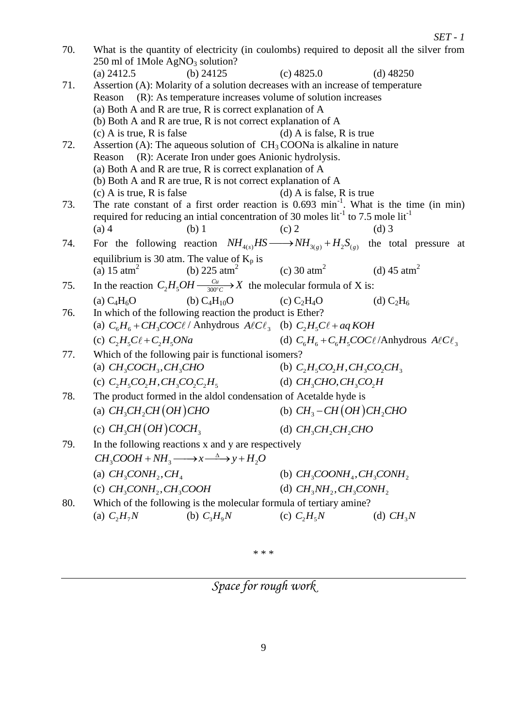| 70. | 250 ml of 1Mole $AgNO3$ solution?            |                                                                                                                             |                                       | What is the quantity of electricity (in coulombs) required to deposit all the silver from             |
|-----|----------------------------------------------|-----------------------------------------------------------------------------------------------------------------------------|---------------------------------------|-------------------------------------------------------------------------------------------------------|
|     | (a) $2412.5$                                 | (b) $24125$                                                                                                                 | $(c)$ 4825.0                          | (d) $48250$                                                                                           |
| 71. |                                              | Assertion (A): Molarity of a solution decreases with an increase of temperature                                             |                                       |                                                                                                       |
|     | Reason                                       | (R): As temperature increases volume of solution increases                                                                  |                                       |                                                                                                       |
|     |                                              | (a) Both A and R are true, R is correct explanation of A                                                                    |                                       |                                                                                                       |
|     |                                              | (b) Both A and R are true, R is not correct explanation of $A$                                                              |                                       |                                                                                                       |
|     | $(c)$ A is true, R is false                  |                                                                                                                             | (d) A is false, R is true             |                                                                                                       |
| 72. | Reason                                       | Assertion (A): The aqueous solution of $CH3COONa$ is alkaline in nature<br>(R): Acerate Iron under goes Anionic hydrolysis. |                                       |                                                                                                       |
|     |                                              | (a) Both A and R are true, R is correct explanation of A                                                                    |                                       |                                                                                                       |
|     |                                              | (b) Both A and R are true, R is not correct explanation of A                                                                |                                       |                                                                                                       |
|     | $(c)$ A is true, R is false                  |                                                                                                                             | (d) A is false, R is true             |                                                                                                       |
| 73. |                                              |                                                                                                                             |                                       | The rate constant of a first order reaction is $0.693$ min <sup>-1</sup> . What is the time (in min)  |
|     |                                              | required for reducing an initial concentration of 30 moles $lit-1$ to 7.5 mole $lit-1$                                      |                                       |                                                                                                       |
|     | $(a)$ 4                                      | $(b)$ 1                                                                                                                     | $(c)$ 2                               | $(d)$ 3                                                                                               |
| 74. |                                              |                                                                                                                             |                                       | For the following reaction $NH_{4(s)}HS \longrightarrow NH_{3(s)} + H_2S_{(s)}$ the total pressure at |
|     | equilibrium is 30 atm. The value of $K_p$ is |                                                                                                                             |                                       |                                                                                                       |
|     | (a) 15 $atm2$                                | (b) 225 $\text{atm}^2$ (c) 30 $\text{atm}^2$                                                                                |                                       | (d) 45 $atm2$                                                                                         |
| 75. |                                              | In the reaction $C_2H_5OH \xrightarrow[300^{\circ}C]{} X$ the molecular formula of X is:                                    |                                       |                                                                                                       |
|     | (a) $C_4H_6O$                                | (b) $C_4H_{10}O$                                                                                                            | (c) $C_2H_4O$                         | (d) $C_2H_6$                                                                                          |
| 76. |                                              | In which of the following reaction the product is Ether?                                                                    |                                       |                                                                                                       |
|     |                                              | (a) $C_6H_6 + CH_3COC\ell$ / Anhydrous $A\ell C\ell_3$ (b) $C_2H_5C\ell + aq KOH$                                           |                                       |                                                                                                       |
|     | (c) $C_2H_5C\ell+C_2H_5ONa$                  |                                                                                                                             |                                       | (d) $C_6H_6 + C_6H_5COC\ell$ /Anhydrous $A\ell C\ell_3$                                               |
| 77. |                                              | Which of the following pair is functional isomers?                                                                          |                                       |                                                                                                       |
|     | (a) $CH_3COCH_3, CH_3CHO$                    |                                                                                                                             | (b) $C_2H_5CO_2H$ , $CH_3CO_2CH_3$    |                                                                                                       |
|     | (c) $C_2H_5CO_2H_3CH_3CO_2C_2H_5$            |                                                                                                                             | (d) $CH_3CHO$ , $CH_3CO_2H$           |                                                                                                       |
| 78. |                                              | The product formed in the aldol condensation of Acetalde hyde is                                                            |                                       |                                                                                                       |
|     | (a) $CH_3CH_2CH$ ( <i>OH</i> ) CHO           |                                                                                                                             | (b) $CH_3$ -CH(OH)CH <sub>2</sub> CHO |                                                                                                       |
|     | (c) $CH_3CH(OH)COCH_3$                       |                                                                                                                             | (d) $CH_3CH_2CH_2CHO$                 |                                                                                                       |
| 79. |                                              | In the following reactions x and y are respectively                                                                         |                                       |                                                                                                       |
|     |                                              | $CH_3COOH + NH_3 \longrightarrow x \stackrel{\Delta}{\longrightarrow} y + H_2O$                                             |                                       |                                                                                                       |
|     | (a) $CH_3CONH_2, CH_4$                       |                                                                                                                             | (b) $CH_3COONH_4, CH_3CONH_2$         |                                                                                                       |
|     | (c) $CH_3CONH_2, CH_3COOH$                   |                                                                                                                             | (d) $CH_3NH_2, CH_3CONH_2$            |                                                                                                       |
| 80. |                                              | Which of the following is the molecular formula of tertiary amine?                                                          |                                       |                                                                                                       |
|     | (a) $C_2H_7N$                                | (b) $C_3H_9N$                                                                                                               | (c) $C_2H_5N$                         | (d) $CH_3N$                                                                                           |
|     |                                              |                                                                                                                             |                                       |                                                                                                       |

 $\ast$   $\ast$   $\ast$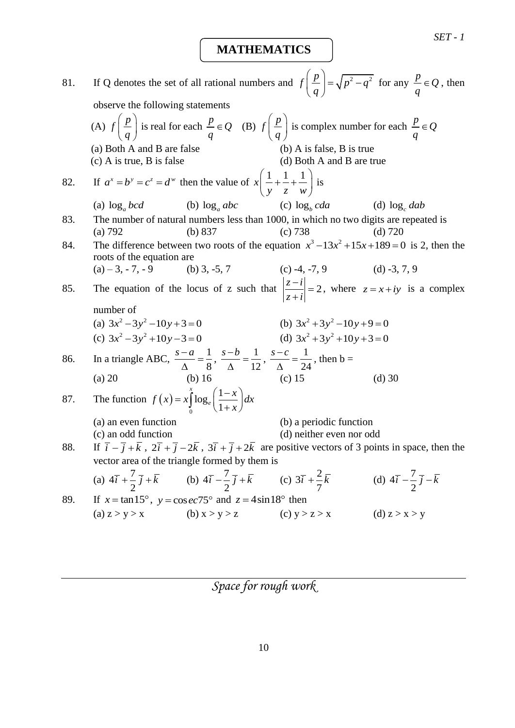**MATHEMATICS**

81. If Q denotes the set of all rational numbers and  $f\left(\frac{p}{q}\right) = \sqrt{p^2 - q^2}$  $\left(\frac{p}{q}\right) = \sqrt{p^2-q}$  $(q)$ for any  $\frac{p}{q} \in Q$ *q*  $\in Q$ , then observe the following statements (A)  $f\left(\frac{p}{q}\right)$  $\left(\frac{p}{q}\right)$ is real for each  $\frac{p}{q} \in Q$ *q*  $\in Q$  (B)  $f \left( \frac{p}{q} \right)$  $\left(\frac{p}{q}\right)$ is complex number for each  $\frac{p}{q} \in Q$ *q*  $\in$ (a) Both A and B are false  $(a)$  A is false, B is true (c) A is true, B is false (d) Both A and B are true 82. If  $a^x = b^y = c^z = d^w$  then the value of  $x \left( \frac{1}{a} + \frac{1}{b} + \frac{1}{c^w} \right)$  $\left(\frac{1}{y} + \frac{1}{z} + \frac{1}{w}\right)$  i  $(y \ z \ w)$ is (a) log*<sup>a</sup> bcd* (b) log*<sup>a</sup> abc*  $(c) \log_b cda$ (d)  $\log_c$  *dab* 83. The number of natural numbers less than 1000, in which no two digits are repeated is (a) 792 (b) 837 (c) 738 (d) 720 84. The difference between two roots of the equation  $x^3 - 13x^2 + 15x + 189 = 0$  is 2, then the roots of the equation are (a)  $-3, -7, -9$  (b) 3,  $-5, 7$  (c)  $-4, -7, 9$  (d)  $-3, 7, 9$ 85. The equation of the locus of z such that  $\left|\frac{z-i}{z}\right|=2$  $z + i$  $\left| \frac{-i}{i} \right| =$  $\overline{+}$ , where  $z = x + iy$  is a complex number of (a)  $3x^2 - 3y^2 - 10y + 3 = 0$ (b)  $3x^2 + 3y^2 - 10y + 9 = 0$ (c)  $3x^2 - 3y^2 + 10y - 3 = 0$ (d)  $3x^2 + 3y^2 + 10y + 3 = 0$ 86. In a triangle ABC,  $\frac{s-a}{s-a} = \frac{1}{s}$ 8  $\frac{s-a}{a} =$  $\Delta$  $\frac{s-b}{1} = \frac{1}{11}$ 12  $\frac{s-b}{s}$  =  $\Delta$  $\frac{s-c}{1}=\frac{1}{2}$ 24  $\frac{s-c}{s}$  =  $\Delta$ , then  $b =$ (a) 20 (b) 16 (c) 15 (d) 30 87. The function  $f(x)$  $\mathbf{0}$  $\log_e \left( \frac{1}{1} \right)$ 1 *x e*  $f(x) = x \int_{0}^{x} \log_e \left( \frac{1-x}{1+x} \right) dx$  $\left(\frac{1-x}{x}\right)_{dx}$  $= x \int_{0}^{x} \log_e \left( \frac{1-x}{1+x} \right) dx$ (a) an even function (b) a periodic function (c) an odd function (d) neither even nor odd 88.  $\overline{i}$   $\overline{j}$   $\overline{k}$ ,  $2\overline{i}$   $\overline{j}$   $\overline{j}$   $\overline{k}$ ,  $3\overline{i}$   $\overline{j}$   $\overline{j}$   $\overline{k}$  are positive vectors of 3 points in space, then the vector area of the triangle formed by them is (a)  $4\bar{i} + \frac{7}{2}$ 2  $\overline{i} + \frac{7}{2} \overline{j} + \overline{k}$  (b)  $4\overline{i} - \frac{7}{2}$ 2  $\overline{i} - \frac{7}{2} \overline{j} + \overline{k}$  (c)  $3\overline{i} + \frac{2}{7}$ 7  $\overline{i} + \frac{2}{5} \overline{k}$ (d)  $4\bar{i} - \frac{7}{2}$ 2  $\overline{i}$  –  $\frac{7}{2}$   $\overline{j}$  –  $\overline{k}$ 89. If  $x = \tan 15^\circ$ ,  $y = \cos ec75^\circ$  and  $z = 4\sin 18^\circ$  then (a)  $z > y > x$  (b)  $x > y > z$  (c)  $y > z > x$  (d)  $z > x > y$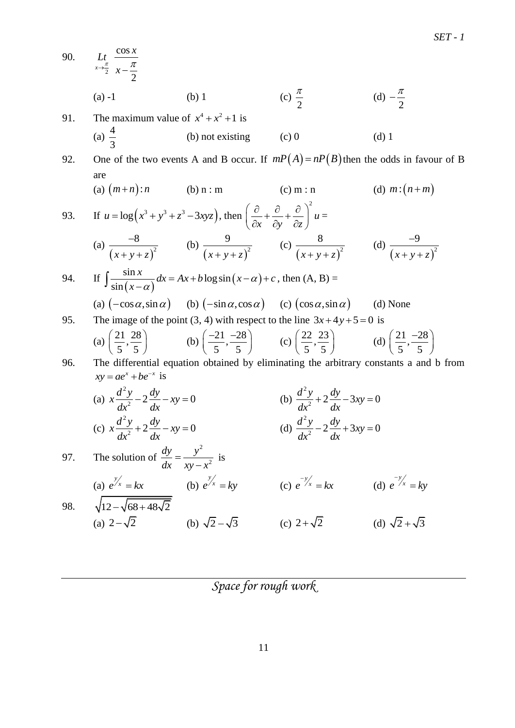90. 2 cos 2 *x*  $Lt \frac{\cos x}{x}$  $\rightarrow \frac{\pi}{2}$   $x - \frac{\pi}{2}$  $(a) -1$  (b) 1 2 π (d) 2  $-\frac{\pi}{2}$ 91. The maximum value of  $x^4 + x^2 + 1$  is (a)  $\frac{4}{5}$ 3 (b) not existing (c) 0 (d) 1 92. One of the two events A and B occur. If  $mP(A) = nP(B)$  then the odds in favour of B are (a)  $(m+n)$ : *n* (b)  $n : m$  (c)  $m : n$ (d)  $m:(n+m)$ 93.  $u = \log(x^3 + y^3 + z^3 - 3xyz)$ , then 2  $\left(\frac{\partial}{\partial x} + \frac{\partial}{\partial y} + \frac{\partial}{\partial z}\right)^2 u$  $\left(\frac{\partial}{\partial x}+\frac{\partial}{\partial y}+\frac{\partial}{\partial z}\right)u=$ (a)  $(x+y+z)^2$ 8  $x + y + z$  $\overline{a}$  $+ y + z$ (b)  $(x+y+z)^2$ 9  $x + y + z$ (c)  $(x+y+z)^2$ 8  $x + y + z$ (d)  $(x+y+z)^2$ 9  $x + y + z$  $\overline{a}$  $+ y +$ 94. If  $(x-\alpha)$  $\frac{\sin x}{\cos x}dx = Ax + b \log \sin(x - \alpha)$ sin *x*  $\frac{dx}{dx}$  *dx* = *Ax* + *b* log sin  $(x - \alpha)$  + *c*  $\int \frac{\sin x}{\sin (x-\alpha)} dx = Ax + b \log \sin (x-\alpha) + c$ , then (A, B) = (a)  $(-\cos \alpha, \sin \alpha)$  (b)  $(-\sin \alpha, \cos \alpha)$  (c)  $(\cos \alpha, \sin \alpha)$ (d) None 95. The image of the point (3, 4) with respect to the line  $3x+4y+5=0$  is (a)  $\left(\frac{21}{7}, \frac{28}{7}\right)$  $\left(\frac{21}{5}, \frac{28}{5}\right)$ (b)  $\left(\frac{-21}{7}, \frac{-28}{7}\right)$  $\left(\frac{-21}{5}, \frac{-28}{5}\right)$  (c)  $\left(\frac{22}{5}, \frac{23}{5}\right)$  $\left(\frac{22}{5}, \frac{23}{5}\right)$ (d)  $\left(\frac{21}{7}, \frac{-28}{7}\right)$ 5 5  $(21 -28)$  $\left(\overline{5},\overline{5}\right)$ 96. The differential equation obtained by eliminating the arbitrary constants a and b from  $xy = ae^x + be^{-x}$  is (a) 2  $x \frac{d^2y}{dx^2} - 2 \frac{dy}{dx} - xy = 0$  $\overline{dx^2}$  –  $\angle \frac{d}{dx}$  $-2\frac{dy}{dx}$  - xy = 0 (b) 2  $rac{d^2y}{dx^2} + 2\frac{dy}{dx} - 3xy = 0$  $+2\frac{dy}{dx}-3xy=0$ (c) 2  $x\frac{d^2y}{dx^2} + 2\frac{dy}{dx} - xy = 0$  $\frac{d^2}{dx^2} + 2\frac{d^2}{dx^2}$  $+2\frac{dy}{dx}-xy=0$ (d) 2  $rac{d^2y}{dx^2} - 2\frac{dy}{dx} + 3xy = 0$  $-2\frac{dy}{dx}+3xy=0$ 97. The solution of 2 2 *dy y*  $dx$   $xy - x$  $=$  $\overline{a}$ is (a)  $e^{\int x} = kx$  (b)  $e^{\int x} = ky$  (c)  $e^{-\int x} = kx$  (d)  $e^{-\int x} = ky$ 98.  $12 - \sqrt{68 + 48\sqrt{2}}$ (a)  $2 - \sqrt{2}$ 2- $\sqrt{2}$  (b)  $\sqrt{2} - \sqrt{3}$  (c)  $2 + \sqrt{2}$ (d)  $\sqrt{2} + \sqrt{3}$ 

*Space for rough work*

*SET - 1*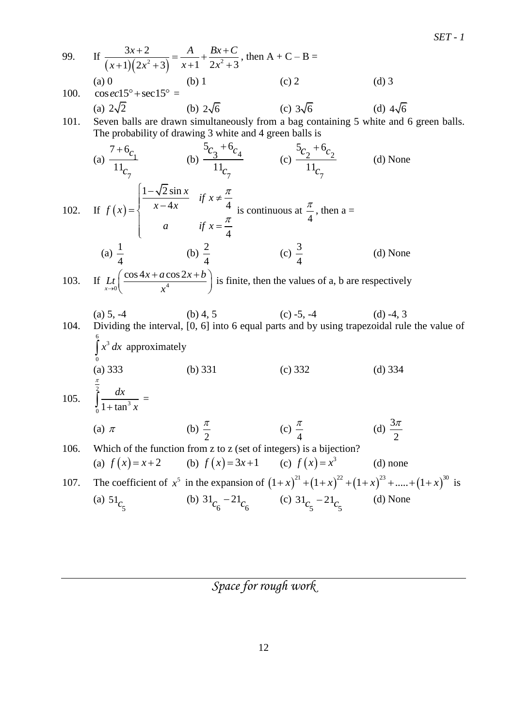99. If 
$$
\frac{3x+2}{(x+1)(2x^2+3)} = \frac{A}{x+1} + \frac{Bx+C}{2x^2+3}
$$
, then A + C - B =  
\n(a) 0 (b) 1 (c) 2 (d) 3  
\n100.  $\csc(215^\circ + \sec 15^\circ =$   
\n(a) 2\sqrt{2} (b) 2\sqrt{6} (c) 3\sqrt{6} (d) 4\sqrt{6}  
\n101. Seven balls are drawn simultaneously from a bag containing 5 white and 6 green balls.  
\nThe probability of drawing 3 white and 4 green balls is  
\n $\frac{7+6}{1!c_1}$  (b)  $\frac{5c_3+6c_4}{11c_7}$  (c)  $\frac{5c_2+6c_2}{11c_7}$  (d) None  
\n102. If  $f(x) =\begin{cases} \frac{1-\sqrt{2}\sin x}{x-4x} & \text{if } x \neq \frac{\pi}{4} \\ a & \text{if } x = \frac{\pi}{4} \end{cases}$  is continuous at  $\frac{\pi}{4}$ , then a =  
\n(a)  $\frac{1}{4}$  (b)  $\frac{2}{4}$  (c)  $\frac{3}{4}$  (d) None  
\n103. If  $L_0\left(\frac{\cos 4x + a \cos 2x+b}{x^4}\right)$  is finite, then the values of a, b are respectively  
\n(a) 5, -4 (b) 4, 5 (c) -5, -4 (d) -4, 3  
\n104. Dividing the interval, [0, 6] into 6 equal parts and by using trapezoidal rule the value of  $\int_0^6 x^3 dx$  approximately  
\n(a) 333 (b) 331 (c) 332 (d) 334  
\n105.  $\int_0^{\frac{\pi}{2}} \frac{dx}{1+\tan^3 x} =$   
\n(a)  $\pi$  (b)  $\frac{\pi}{2}$  (c)  $\frac{\pi}{4}$  (d)  $\frac{3\pi}{2}$   
\n106. Which of the function from z to z (set of integers) is a bijection?  
\n(a)  $f(x) = x+2$  (b)  $f(x) = 3x+1$  (c)  $f(x) = x^3$  (d) none  
\n107. The coefficient of  $x$ 

*SET - 1*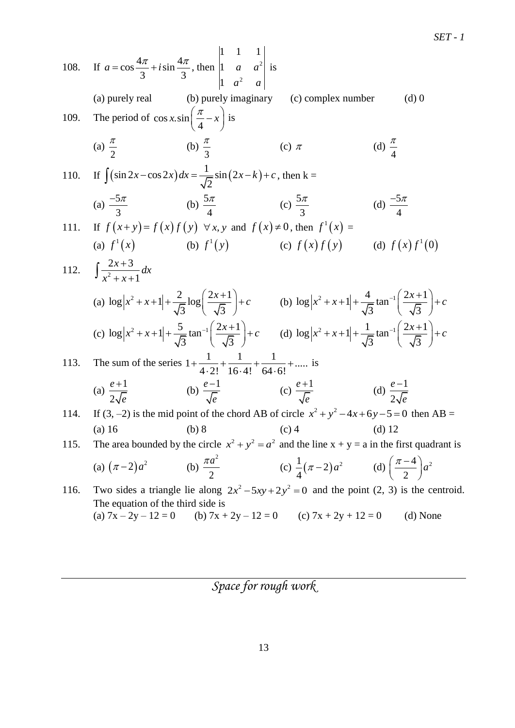*SET - 1*

108. If 
$$
a = \cos \frac{4\pi}{3} + i \sin \frac{4\pi}{3}
$$
, then  $\begin{vmatrix} 1 & 1 & 1 \ 1 & a & a^2 \ a^2 & a \end{vmatrix}$  is  
\n(a) purely real (b) purely imaginary (c) complex number (d) 0  
\n109. The period of  $\cos x \sin \left(\frac{\pi}{4} - x\right)$  is  
\n(a)  $\frac{\pi}{2}$  (b)  $\frac{\pi}{3}$  (c)  $\pi$  (d)  $\frac{\pi}{4}$   
\n110. If  $\int (\sin 2x - \cos 2x) dx = \frac{1}{\sqrt{2}} \sin (2x - k) + c$ , then  $k =$   
\n(a)  $\frac{-5\pi}{3}$  (b)  $\frac{5\pi}{4}$  (c)  $\frac{5\pi}{3}$  (d)  $\frac{-5\pi}{4}$   
\n111. If  $f(x + y) = f(x)f(y) \forall x, y$  and  $f(x) \neq 0$ , then  $f'(x) =$   
\n(a)  $f'(x)$  (b)  $f'(y)$  (c)  $f(x)f(y)$  (d)  $f(x)f'(0)$   
\n112.  $\int \frac{2x + 3}{x^2 + x + 1} dx$   
\n(a)  $\log |x^2 + x + 1| + \frac{2}{\sqrt{3}} \log \left(\frac{2x + 1}{\sqrt{3}}\right) + c$  (b)  $\log |x^2 + x + 1| + \frac{4}{\sqrt{3}} \tan^{-1}\left(\frac{2x + 1}{\sqrt{3}}\right) + c$   
\n(c)  $\log |x^2 + x + 1| + \frac{5}{\sqrt{3}} \tan^{-1}\left(\frac{2x + 1}{\sqrt{3}}\right) + c$  (d)  $\log |x^2 + x + 1| + \frac{1}{\sqrt{3}} \tan^{-1}\left(\frac{2x + 1}{\sqrt{3}}\right) + c$   
\n113. The sum of the series  $1 + \frac{1}{4 \cdot 2!} + \frac{1}{16 \cdot 4!} + \frac{1}{64 \cdot 6!} + \dots$  is  
\n(a)  $\frac{e+1}{2\sqrt{e}}$  (b)  $\frac{$ 

(a)  $7x - 2y - 12 = 0$  (b)  $7x + 2y - 12 = 0$  (c)  $7x + 2y + 12 = 0$  (d) None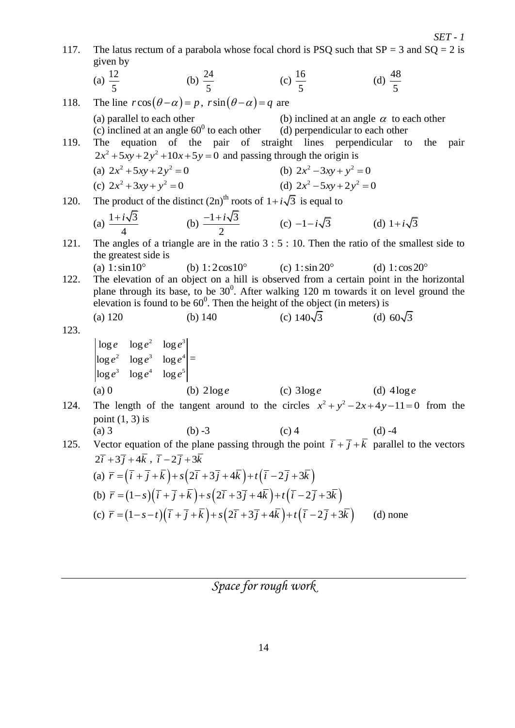|      |                                                                                                                                    |                                                                                                                                                                               |                                                                                                                                          | $SET - 1$                                                                                                                                                                                                      |
|------|------------------------------------------------------------------------------------------------------------------------------------|-------------------------------------------------------------------------------------------------------------------------------------------------------------------------------|------------------------------------------------------------------------------------------------------------------------------------------|----------------------------------------------------------------------------------------------------------------------------------------------------------------------------------------------------------------|
| 117. | given by                                                                                                                           |                                                                                                                                                                               |                                                                                                                                          | The latus rectum of a parabola whose focal chord is PSQ such that $SP = 3$ and $SQ = 2$ is                                                                                                                     |
|      |                                                                                                                                    | (a) $\frac{12}{5}$ (b) $\frac{24}{5}$ (c) $\frac{16}{5}$                                                                                                                      |                                                                                                                                          | (d) $\frac{48}{5}$                                                                                                                                                                                             |
| 118. |                                                                                                                                    | The line $r\cos(\theta-\alpha) = p$ , $r\sin(\theta-\alpha) = q$ are                                                                                                          |                                                                                                                                          |                                                                                                                                                                                                                |
| 119. | (a) parallel to each other                                                                                                         |                                                                                                                                                                               | (b) inclined at an angle $\alpha$ to each other<br>(c) inclined at an angle $60^0$ to each other (d) perpendicular to each other         | The equation of the pair of straight lines perpendicular to the pair                                                                                                                                           |
|      | (a) $2x^2 + 5xy + 2y^2 = 0$                                                                                                        | $2x^2 + 5xy + 2y^2 + 10x + 5y = 0$ and passing through the origin is                                                                                                          |                                                                                                                                          |                                                                                                                                                                                                                |
|      | (c) $2x^2 + 3xy + y^2 = 0$                                                                                                         |                                                                                                                                                                               | (b) $2x^2 - 3xy + y^2 = 0$<br>(d) $2x^2 - 5xy + 2y^2 = 0$                                                                                |                                                                                                                                                                                                                |
| 120. |                                                                                                                                    | The product of the distinct $(2n)^{th}$ roots of $1+i\sqrt{3}$ is equal to                                                                                                    |                                                                                                                                          |                                                                                                                                                                                                                |
|      |                                                                                                                                    |                                                                                                                                                                               |                                                                                                                                          |                                                                                                                                                                                                                |
|      |                                                                                                                                    |                                                                                                                                                                               | (a) $\frac{1+i\sqrt{3}}{4}$ (b) $\frac{-1+i\sqrt{3}}{2}$ (c) $-1-i\sqrt{3}$ (d) $1+i\sqrt{3}$                                            |                                                                                                                                                                                                                |
| 121. | the greatest side is                                                                                                               |                                                                                                                                                                               |                                                                                                                                          | The angles of a triangle are in the ratio $3:5:10$ . Then the ratio of the smallest side to                                                                                                                    |
| 122. | (a) $1:\sin 10^{\circ}$                                                                                                            |                                                                                                                                                                               | (b) $1:2\cos 10^{\circ}$ (c) $1:\sin 20^{\circ}$<br>elevation is found to be $60^{\circ}$ . Then the height of the object (in meters) is | (d) 1: $\cos 20^\circ$<br>The elevation of an object on a hill is observed from a certain point in the horizontal<br>plane through its base, to be $30^0$ . After walking 120 m towards it on level ground the |
|      | (a) 120                                                                                                                            | (b) $140$                                                                                                                                                                     | (c) $140\sqrt{3}$ (d) $60\sqrt{3}$                                                                                                       |                                                                                                                                                                                                                |
| 123. | $\begin{vmatrix} \log e & \log e^2 & \log e^3 \\ \log e^2 & \log e^3 & \log e^4 \\ \log e^3 & \log e^4 & \log e^5 \end{vmatrix} =$ |                                                                                                                                                                               | (a) 0 (b) $2\log e$ (c) $3\log e$ (d) $4\log e$                                                                                          |                                                                                                                                                                                                                |
| 124. |                                                                                                                                    |                                                                                                                                                                               |                                                                                                                                          | The length of the tangent around to the circles $x^2 + y^2 - 2x + 4y - 11 = 0$ from the                                                                                                                        |
|      | point $(1, 3)$ is<br>$(a)$ 3                                                                                                       | $(b) -3$                                                                                                                                                                      | $(c)$ 4                                                                                                                                  | $(d) -4$                                                                                                                                                                                                       |
| 125. |                                                                                                                                    |                                                                                                                                                                               |                                                                                                                                          | Vector equation of the plane passing through the point $\overline{i} + \overline{j} + \overline{k}$ parallel to the vectors                                                                                    |
|      | $2\overline{i}+3\overline{j}+4\overline{k}$ , $\overline{i}-2\overline{j}+3\overline{k}$                                           |                                                                                                                                                                               |                                                                                                                                          |                                                                                                                                                                                                                |
|      |                                                                                                                                    | (a) $\overline{r} = (\overline{i} + \overline{j} + \overline{k}) + s(2\overline{i} + 3\overline{j} + 4\overline{k}) + t(\overline{i} - 2\overline{j} + 3\overline{k})$        |                                                                                                                                          |                                                                                                                                                                                                                |
|      |                                                                                                                                    | (b) $\vec{r} = (1-s)(\vec{i} + \vec{j} + \vec{k}) + s(2\vec{i} + 3\vec{j} + 4\vec{k}) + t(\vec{i} - 2\vec{j} + 3\vec{k})$                                                     |                                                                                                                                          |                                                                                                                                                                                                                |
|      |                                                                                                                                    | (c) $\overline{r} = (1-s-t)(\overline{i} + \overline{j} + \overline{k}) + s(2\overline{i} + 3\overline{j} + 4\overline{k}) + t(\overline{i} - 2\overline{j} + 3\overline{k})$ |                                                                                                                                          | $(d)$ none                                                                                                                                                                                                     |
|      |                                                                                                                                    |                                                                                                                                                                               |                                                                                                                                          |                                                                                                                                                                                                                |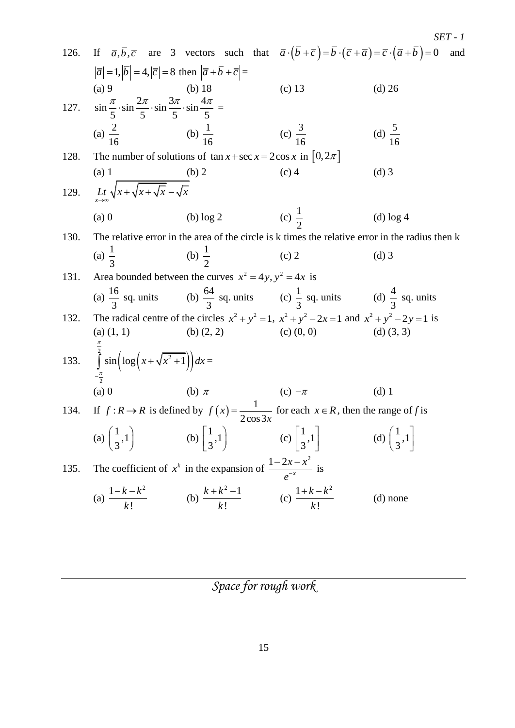|      |                                                                                                           |                                                                           |                                                                                                                                                                                                                                    | SET - 1                          |
|------|-----------------------------------------------------------------------------------------------------------|---------------------------------------------------------------------------|------------------------------------------------------------------------------------------------------------------------------------------------------------------------------------------------------------------------------------|----------------------------------|
| 126. |                                                                                                           |                                                                           | If $\overline{a}, \overline{b}, \overline{c}$ are 3 vectors such that $\overline{a} \cdot (\overline{b} + \overline{c}) = \overline{b} \cdot (\overline{c} + \overline{a}) = \overline{c} \cdot (\overline{a} + \overline{b}) = 0$ | and                              |
|      | $ \overline{a} =1,  \overline{b} =4,  \overline{c} =8$ then $ \overline{a}+\overline{b}+\overline{c} =$   |                                                                           |                                                                                                                                                                                                                                    |                                  |
|      | $(a)$ 9                                                                                                   |                                                                           | $(c)$ 13                                                                                                                                                                                                                           | $(d)$ 26                         |
|      | 127. $\sin \frac{\pi}{5} \cdot \sin \frac{2\pi}{5} \cdot \sin \frac{3\pi}{5} \cdot \sin \frac{4\pi}{5} =$ |                                                                           |                                                                                                                                                                                                                                    |                                  |
|      | (a) $\frac{2}{16}$ (b) $\frac{1}{16}$                                                                     |                                                                           | (c) $\frac{3}{16}$                                                                                                                                                                                                                 | (d) $\frac{5}{16}$               |
| 128. |                                                                                                           | The number of solutions of $\tan x + \sec x = 2\cos x$ in $[0, 2\pi]$     |                                                                                                                                                                                                                                    |                                  |
|      | $(a)$ 1                                                                                                   | (b) 2                                                                     | $(c)$ 4                                                                                                                                                                                                                            | $(d)$ 3                          |
| 129. | $\frac{Lt}{x+x} \sqrt{x+\sqrt{x+\sqrt{x}}-\sqrt{x}}$                                                      |                                                                           |                                                                                                                                                                                                                                    |                                  |
|      | $(a)$ 0                                                                                                   | $(b)$ log 2                                                               | (c) $\frac{1}{2}$                                                                                                                                                                                                                  | $(d)$ log 4                      |
| 130. |                                                                                                           |                                                                           | The relative error in the area of the circle is k times the relative error in the radius then k                                                                                                                                    |                                  |
|      | (a) $\frac{1}{2}$                                                                                         | (b) $\frac{1}{2}$                                                         | $(c)$ 2                                                                                                                                                                                                                            | $(d)$ 3                          |
| 131. |                                                                                                           | Area bounded between the curves $x^2 = 4y$ , $y^2 = 4x$ is                |                                                                                                                                                                                                                                    |                                  |
|      |                                                                                                           |                                                                           | (a) $\frac{16}{3}$ sq. units (b) $\frac{64}{3}$ sq. units (c) $\frac{1}{3}$ sq. units (d) $\frac{4}{3}$ sq. units                                                                                                                  |                                  |
| 132. |                                                                                                           |                                                                           | The radical centre of the circles $x^2 + y^2 = 1$ , $x^2 + y^2 - 2x = 1$ and $x^2 + y^2 - 2y = 1$ is                                                                                                                               |                                  |
|      | $(a)$ $(1, 1)$                                                                                            | (b) $(2, 2)$                                                              | $(c)$ $(0, 0)$                                                                                                                                                                                                                     | $(d)$ $(3, 3)$                   |
|      | 133. $\int_{-\frac{\pi}{2}}^{\frac{\pi}{2}} \sin\left(\log\left(x+\sqrt{x^2+1}\right)\right)dx =$         |                                                                           |                                                                                                                                                                                                                                    |                                  |
|      | $(a)$ 0                                                                                                   | (b) $\pi$                                                                 | (c) $-\pi$                                                                                                                                                                                                                         | $(d)$ 1                          |
|      |                                                                                                           |                                                                           | 134. If $f: R \to R$ is defined by $f(x) = \frac{1}{2\cos 3x}$ for each $x \in R$ , then the range of f is                                                                                                                         |                                  |
|      | (a) $\left(\frac{1}{3},1\right)$                                                                          | (b) $\left[\frac{1}{3},1\right)$ (c) $\left \frac{1}{3},1\right $         |                                                                                                                                                                                                                                    | (d) $\left(\frac{1}{3},1\right)$ |
| 135. |                                                                                                           | The coefficient of $x^k$ in the expansion of $\frac{1-2x-x^2}{e^{-x}}$ is |                                                                                                                                                                                                                                    |                                  |
|      | (a) $\frac{1-k-k^2}{k!}$                                                                                  | (b) $\frac{k+k^2-1}{k!}$ (c) $\frac{1+k-k^2}{k!}$                         |                                                                                                                                                                                                                                    | $(d)$ none                       |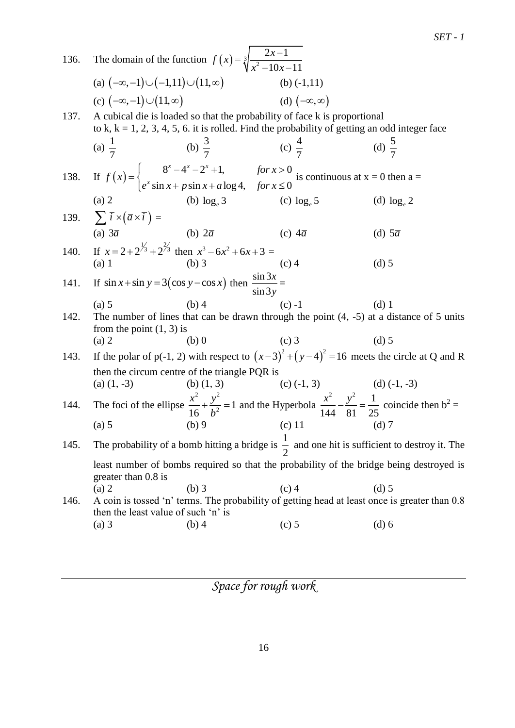| 136. |                                                                      | The domain of the function $f(x) = \sqrt[3]{\frac{2x-1}{x^2-10x-11}}$                                                                                                              |                         |                                                                                                                                                                                                             |
|------|----------------------------------------------------------------------|------------------------------------------------------------------------------------------------------------------------------------------------------------------------------------|-------------------------|-------------------------------------------------------------------------------------------------------------------------------------------------------------------------------------------------------------|
|      | (a) $(-\infty,-1) \cup (-1,11) \cup (11,\infty)$                     |                                                                                                                                                                                    | (b) $(-1,11)$           |                                                                                                                                                                                                             |
|      | (c) $(-\infty,-1) \cup (11,\infty)$                                  |                                                                                                                                                                                    | (d) $(-\infty, \infty)$ |                                                                                                                                                                                                             |
| 137. |                                                                      | A cubical die is loaded so that the probability of face k is proportional<br>to k, $k = 1, 2, 3, 4, 5, 6$ . it is rolled. Find the probability of getting an odd integer face      |                         |                                                                                                                                                                                                             |
|      |                                                                      | (a) $\frac{1}{7}$ (b) $\frac{3}{7}$ (c) $\frac{4}{7}$                                                                                                                              |                         | (d) $\frac{5}{7}$                                                                                                                                                                                           |
|      |                                                                      | 138. If $f(x) = \begin{cases} 8^x - 4^x - 2^x + 1, & \text{for } x > 0 \\ e^x \sin x + p \sin x + a \log 4, & \text{for } x \le 0 \end{cases}$ is continuous at $x = 0$ then $a =$ |                         |                                                                                                                                                                                                             |
|      |                                                                      | (a) 2 (b) $\log_e 3$ (c) $\log_e 5$                                                                                                                                                |                         | (d) $\log_e 2$                                                                                                                                                                                              |
|      | 139. $\sum \overline{i} \times (\overline{a} \times \overline{i}) =$ |                                                                                                                                                                                    |                         |                                                                                                                                                                                                             |
|      | (b) $2\overline{a}$<br>(a) $3\overline{a}$                           |                                                                                                                                                                                    | (c) $4\overline{a}$     | (d) $5\overline{a}$                                                                                                                                                                                         |
|      |                                                                      | (a) 3 <i>a</i> (b) 2 <i>a</i><br>140. If $x = 2 + 2^{\frac{1}{3}} + 2^{\frac{2}{3}}$ then $x^3 - 6x^2 + 6x + 3 =$                                                                  |                         |                                                                                                                                                                                                             |
|      | (a) 1                                                                | $(b)$ 3                                                                                                                                                                            | $(c)$ 4                 | $(d)$ 5                                                                                                                                                                                                     |
| 141. |                                                                      | If $\sin x + \sin y = 3(\cos y - \cos x)$ then $\frac{\sin 3x}{\sin 3y} =$                                                                                                         |                         |                                                                                                                                                                                                             |
|      | (a) 5                                                                | $(b)$ 4                                                                                                                                                                            | $(c) -1$                | $(d)$ 1                                                                                                                                                                                                     |
| 142. | from the point $(1, 3)$ is                                           |                                                                                                                                                                                    |                         | The number of lines that can be drawn through the point $(4, -5)$ at a distance of 5 units                                                                                                                  |
|      | (a) 2                                                                | $(b)$ 0                                                                                                                                                                            | $(c)$ 3                 | $(d)$ 5                                                                                                                                                                                                     |
| 143. |                                                                      |                                                                                                                                                                                    |                         | If the polar of p(-1, 2) with respect to $(x-3)^2 + (y-4)^2 = 16$ meets the circle at Q and R                                                                                                               |
|      |                                                                      | then the circum centre of the triangle PQR is                                                                                                                                      |                         |                                                                                                                                                                                                             |
|      |                                                                      |                                                                                                                                                                                    |                         |                                                                                                                                                                                                             |
| 144. |                                                                      |                                                                                                                                                                                    |                         | (a) (1, -5) (b) (1, 3) (c) (-1, 3) (d) (-1, -3)<br>The foci of the ellipse $\frac{x^2}{16} + \frac{y^2}{b^2} = 1$ and the Hyperbola $\frac{x^2}{144} - \frac{y^2}{81} = \frac{1}{25}$ coincide then $b^2 =$ |
|      | (a) 5                                                                | (c) $11$<br>(b)9                                                                                                                                                                   |                         | $(d)$ 7                                                                                                                                                                                                     |
| 145. |                                                                      |                                                                                                                                                                                    |                         | The probability of a bomb hitting a bridge is $\frac{1}{2}$ and one hit is sufficient to destroy it. The                                                                                                    |
|      | greater than 0.8 is                                                  |                                                                                                                                                                                    |                         | least number of bombs required so that the probability of the bridge being destroyed is                                                                                                                     |
|      | (a) 2                                                                | $(b)$ 3                                                                                                                                                                            | $(c)$ 4                 | $(d)$ 5                                                                                                                                                                                                     |
| 146. | then the least value of such 'n' is                                  |                                                                                                                                                                                    |                         | A coin is tossed 'n' terms. The probability of getting head at least once is greater than 0.8                                                                                                               |
|      | $(a)$ 3                                                              | $(b)$ 4                                                                                                                                                                            | $(c)$ 5                 | $(d)$ 6                                                                                                                                                                                                     |
|      |                                                                      |                                                                                                                                                                                    |                         |                                                                                                                                                                                                             |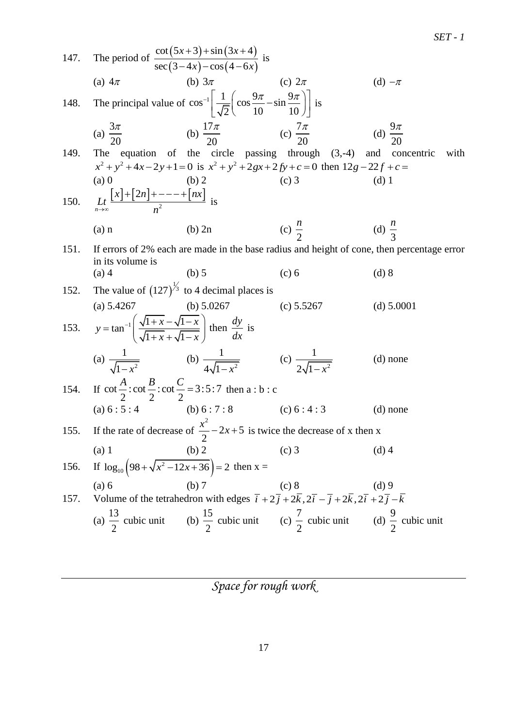*SET - 1*

| 147. | The period of $\frac{\cot(5x+3) + \sin(3x+4)}{\sec(3-4x) - \cos(4-6x)}$ is                                          |                                                                                                                          |                                                                                                                                    |                                                                                            |
|------|---------------------------------------------------------------------------------------------------------------------|--------------------------------------------------------------------------------------------------------------------------|------------------------------------------------------------------------------------------------------------------------------------|--------------------------------------------------------------------------------------------|
|      | (a) $4\pi$                                                                                                          | (b) $3\pi$                                                                                                               | (c) $2\pi$                                                                                                                         | (d) $-\pi$                                                                                 |
| 148. |                                                                                                                     | The principal value of $\cos^{-1}\left[\frac{1}{\sqrt{2}}\left(\cos\frac{9\pi}{10}-\sin\frac{9\pi}{10}\right)\right]$ is |                                                                                                                                    |                                                                                            |
|      | (a) $\frac{3\pi}{20}$                                                                                               | (b) $\frac{1/\pi}{20}$ (c) $\frac{7\pi}{20}$                                                                             |                                                                                                                                    | (d) $\frac{9\pi}{20}$                                                                      |
| 149. |                                                                                                                     |                                                                                                                          | The equation of the circle passing through $(3,-4)$ and concentric                                                                 | with                                                                                       |
|      |                                                                                                                     |                                                                                                                          | $x^{2} + y^{2} + 4x - 2y + 1 = 0$ is $x^{2} + y^{2} + 2gx + 2fy + c = 0$ then $12g - 22f + c = 0$                                  |                                                                                            |
|      | $(a)$ 0                                                                                                             | (b) 2                                                                                                                    | $(c)$ 3                                                                                                                            | $(d)$ 1                                                                                    |
| 150. | $L_t$ $\frac{\lfloor x \rfloor + \lfloor 2n \rfloor + - - - + \lfloor nx \rfloor}{n^2}$ is                          |                                                                                                                          |                                                                                                                                    |                                                                                            |
|      | $(a)$ n                                                                                                             | $(b)$ 2n                                                                                                                 | (c) $\frac{n}{2}$                                                                                                                  | (d) $\frac{n}{2}$                                                                          |
| 151. |                                                                                                                     |                                                                                                                          |                                                                                                                                    | If errors of 2% each are made in the base radius and height of cone, then percentage error |
|      | in its volume is                                                                                                    |                                                                                                                          |                                                                                                                                    |                                                                                            |
|      | $(a)$ 4                                                                                                             | $(b)$ 5                                                                                                                  | $(c)$ 6                                                                                                                            | $(d)$ 8                                                                                    |
| 152. |                                                                                                                     | The value of $(127)^{\frac{1}{3}}$ to 4 decimal places is                                                                |                                                                                                                                    |                                                                                            |
|      | (a) 5.4267                                                                                                          | (b) $5.0267$                                                                                                             | (c) $5.5267$                                                                                                                       | (d) $5.0001$                                                                               |
|      | 153. $y = \tan^{-1} \left( \frac{\sqrt{1+x} - \sqrt{1-x}}{\sqrt{1+x} + \sqrt{1-x}} \right)$ then $\frac{dy}{dx}$ is |                                                                                                                          |                                                                                                                                    |                                                                                            |
|      |                                                                                                                     | (a) $\frac{1}{\sqrt{1-x^2}}$ (b) $\frac{1}{4\sqrt{1-x^2}}$ (c) $\frac{1}{2\sqrt{1-x^2}}$                                 |                                                                                                                                    | $(d)$ none                                                                                 |
|      |                                                                                                                     | 154. If $\cot \frac{A}{2} : \cot \frac{B}{2} : \cot \frac{C}{2} = 3 : 5 : 7$ then a : b : c                              |                                                                                                                                    |                                                                                            |
|      | (a) $6:5:4$                                                                                                         | (b) $6:7:8$                                                                                                              | (c) $6:4:3$                                                                                                                        | $(d)$ none                                                                                 |
|      |                                                                                                                     |                                                                                                                          | 155. If the rate of decrease of $\frac{x^2}{2}$ – 2x + 5 is twice the decrease of x then x                                         |                                                                                            |
|      | $(a)$ 1                                                                                                             | (b) 2                                                                                                                    | $(c)$ 3                                                                                                                            | $(d)$ 4                                                                                    |
| 156. | If $\log_{10} (98 + \sqrt{x^2 - 12x + 36}) = 2$ then x =                                                            |                                                                                                                          |                                                                                                                                    |                                                                                            |
|      | (a) 6                                                                                                               | (b) 7                                                                                                                    | (c) 8                                                                                                                              | $(d)$ 9                                                                                    |
| 157. |                                                                                                                     |                                                                                                                          | Volume of the tetrahedron with edges $\vec{i} + 2\vec{j} + 2\vec{k}, 2\vec{i} - \vec{j} + 2\vec{k}, 2\vec{i} + 2\vec{j} - \vec{k}$ |                                                                                            |
|      |                                                                                                                     |                                                                                                                          | (a) $\frac{13}{2}$ cubic unit (b) $\frac{15}{2}$ cubic unit (c) $\frac{7}{2}$ cubic unit (d) $\frac{9}{2}$ cubic unit              |                                                                                            |
|      |                                                                                                                     |                                                                                                                          |                                                                                                                                    |                                                                                            |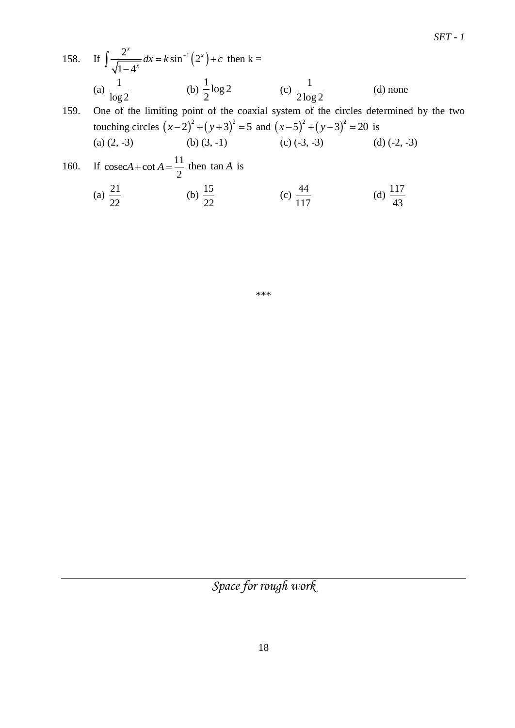43

158. If 
$$
\int \frac{2^x}{\sqrt{1-4^x}} dx = k \sin^{-1}(2^x) + c
$$
 then  $k =$   
\n(a)  $\frac{1}{\log 2}$  (b)  $\frac{1}{2} \log 2$  (c)  $\frac{1}{2 \log 2}$  (d) none  
\n159. One of the limiting point of the coaxial system of the circles determined by the two  
\ntourbing yields  $(a-2)^2 + (a+2)^2 = 5$  and  $(a-5)^2 + (a-2)^2 = 20$  is

touching circles  $(x-2)^2 + (y+3)^2 = 5$  and  $(x-5)^2 + (y-3)^2 = 20$  is (a)  $(2, -3)$  (b)  $(3, -1)$  (c)  $(-3, -3)$  (d)  $(-2, -3)$ 

160. If 
$$
\csc A + \cot A = \frac{11}{2}
$$
 then  $\tan A$  is  
\n(a)  $\frac{21}{22}$  (b)  $\frac{15}{22}$  (c)  $\frac{44}{117}$  (d)  $\frac{117}{43}$ 

\*\*\*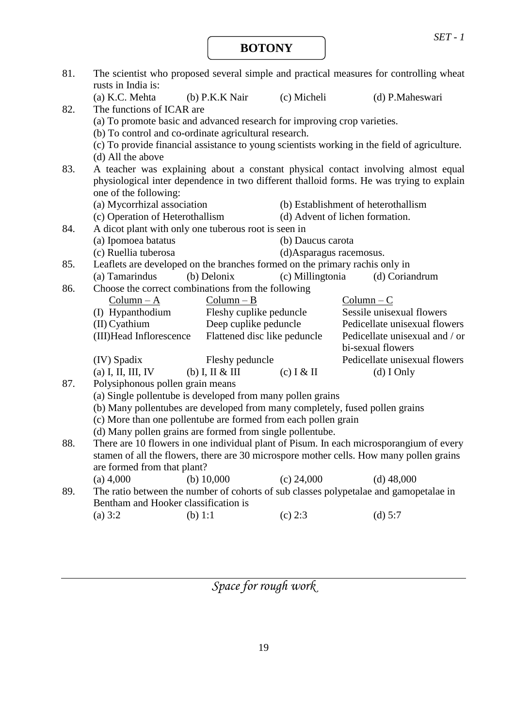**BOTONY**

| 81. | The scientist who proposed several simple and practical measures for controlling wheat<br>rusts in India is: |                              |                          |                                                                                              |  |  |  |  |  |
|-----|--------------------------------------------------------------------------------------------------------------|------------------------------|--------------------------|----------------------------------------------------------------------------------------------|--|--|--|--|--|
|     | (a) K.C. Mehta                                                                                               | (b) P.K.K Nair               | (c) Micheli              | (d) P.Maheswari                                                                              |  |  |  |  |  |
| 82. | The functions of ICAR are                                                                                    |                              |                          |                                                                                              |  |  |  |  |  |
|     | (a) To promote basic and advanced research for improving crop varieties.                                     |                              |                          |                                                                                              |  |  |  |  |  |
|     | (b) To control and co-ordinate agricultural research.                                                        |                              |                          |                                                                                              |  |  |  |  |  |
|     |                                                                                                              |                              |                          | (c) To provide financial assistance to young scientists working in the field of agriculture. |  |  |  |  |  |
|     | (d) All the above                                                                                            |                              |                          |                                                                                              |  |  |  |  |  |
| 83. |                                                                                                              |                              |                          | A teacher was explaining about a constant physical contact involving almost equal            |  |  |  |  |  |
|     | physiological inter dependence in two different thalloid forms. He was trying to explain                     |                              |                          |                                                                                              |  |  |  |  |  |
|     | one of the following:                                                                                        |                              |                          |                                                                                              |  |  |  |  |  |
|     | (a) Mycorrhizal association                                                                                  |                              |                          | (b) Establishment of heterothallism                                                          |  |  |  |  |  |
|     | (c) Operation of Heterothallism                                                                              |                              |                          | (d) Advent of lichen formation.                                                              |  |  |  |  |  |
| 84. | A dicot plant with only one tuberous root is seen in                                                         |                              |                          |                                                                                              |  |  |  |  |  |
|     | (a) Ipomoea batatus                                                                                          |                              | (b) Daucus carota        |                                                                                              |  |  |  |  |  |
|     | (c) Ruellia tuberosa                                                                                         |                              | (d) Asparagus racemosus. |                                                                                              |  |  |  |  |  |
| 85. | Leaflets are developed on the branches formed on the primary rachis only in                                  |                              |                          |                                                                                              |  |  |  |  |  |
|     | (a) Tamarindus                                                                                               | (b) Delonix                  | (c) Millingtonia         | (d) Coriandrum                                                                               |  |  |  |  |  |
| 86. | Choose the correct combinations from the following                                                           |                              |                          |                                                                                              |  |  |  |  |  |
|     | $Column - A$                                                                                                 | $Column - B$                 |                          | $Column - C$                                                                                 |  |  |  |  |  |
|     | (I) Hypanthodium                                                                                             | Fleshy cuplike peduncle      |                          | Sessile unisexual flowers                                                                    |  |  |  |  |  |
|     | $(II)$ Cyathium                                                                                              | Deep cuplike peduncle        |                          | Pedicellate unisexual flowers                                                                |  |  |  |  |  |
|     | (III) Head Inflorescence                                                                                     | Flattened disc like peduncle |                          | Pedicellate unisexual and / or                                                               |  |  |  |  |  |
|     |                                                                                                              |                              |                          | bi-sexual flowers                                                                            |  |  |  |  |  |
|     | (IV) Spadix                                                                                                  | Fleshy peduncle              |                          | Pedicellate unisexual flowers                                                                |  |  |  |  |  |
|     | (a) I, II, III, IV                                                                                           | $(b)$ I, II & III            | $(c)$ I & II             | $(d)$ I Only                                                                                 |  |  |  |  |  |
| 87. | Polysiphonous pollen grain means                                                                             |                              |                          |                                                                                              |  |  |  |  |  |
|     | (a) Single pollentube is developed from many pollen grains                                                   |                              |                          |                                                                                              |  |  |  |  |  |
|     | (b) Many pollentubes are developed from many completely, fused pollen grains                                 |                              |                          |                                                                                              |  |  |  |  |  |
|     | (c) More than one pollentube are formed from each pollen grain                                               |                              |                          |                                                                                              |  |  |  |  |  |
|     | (d) Many pollen grains are formed from single pollentube.                                                    |                              |                          |                                                                                              |  |  |  |  |  |
| 88. |                                                                                                              |                              |                          | There are 10 flowers in one individual plant of Pisum. In each microsporangium of every      |  |  |  |  |  |
|     |                                                                                                              |                              |                          | stamen of all the flowers, there are 30 microspore mother cells. How many pollen grains      |  |  |  |  |  |
|     | are formed from that plant?                                                                                  |                              |                          |                                                                                              |  |  |  |  |  |
|     | $(a)$ 4,000                                                                                                  | (b) $10,000$                 | (c) 24,000               | $(d)$ 48,000                                                                                 |  |  |  |  |  |
| 89. | Bentham and Hooker classification is                                                                         |                              |                          | The ratio between the number of cohorts of sub classes polypetalae and gamopetalae in        |  |  |  |  |  |
|     | (a) $3:2$                                                                                                    | (b) $1:1$                    | $(c)$ 2:3                | (d) $5:7$                                                                                    |  |  |  |  |  |
|     |                                                                                                              |                              |                          |                                                                                              |  |  |  |  |  |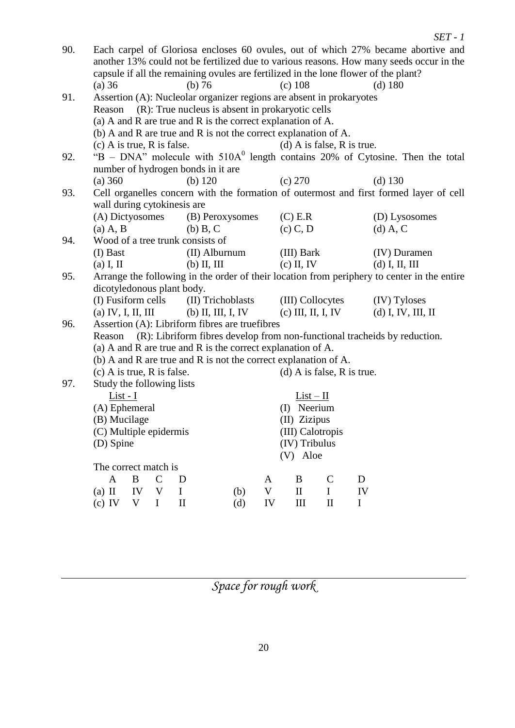|     |                                                                                                                                    |                                                             |              |                            |                                                                 |             |              |                            |             | $SET - 1$            |  |
|-----|------------------------------------------------------------------------------------------------------------------------------------|-------------------------------------------------------------|--------------|----------------------------|-----------------------------------------------------------------|-------------|--------------|----------------------------|-------------|----------------------|--|
| 90. | Each carpel of Gloriosa encloses 60 ovules, out of which 27% became abortive and                                                   |                                                             |              |                            |                                                                 |             |              |                            |             |                      |  |
|     | another 13% could not be fertilized due to various reasons. How many seeds occur in the                                            |                                                             |              |                            |                                                                 |             |              |                            |             |                      |  |
|     | capsule if all the remaining ovules are fertilized in the lone flower of the plant?                                                |                                                             |              |                            |                                                                 |             |              |                            |             |                      |  |
|     | $(a)$ 36                                                                                                                           |                                                             |              | (b) 76                     |                                                                 |             | (c) 108      |                            |             | $(d)$ 180            |  |
| 91. |                                                                                                                                    |                                                             |              |                            |                                                                 |             |              |                            |             |                      |  |
|     | Assertion (A): Nucleolar organizer regions are absent in prokaryotes<br>(R): True nucleus is absent in prokaryotic cells<br>Reason |                                                             |              |                            |                                                                 |             |              |                            |             |                      |  |
|     | (a) A and R are true and R is the correct explanation of A.                                                                        |                                                             |              |                            |                                                                 |             |              |                            |             |                      |  |
|     | (b) A and R are true and R is not the correct explanation of A.                                                                    |                                                             |              |                            |                                                                 |             |              |                            |             |                      |  |
|     | $(c)$ A is true, R is false.                                                                                                       |                                                             |              |                            |                                                                 |             |              | (d) A is false, R is true. |             |                      |  |
| 92. |                                                                                                                                    |                                                             |              |                            |                                                                 |             |              |                            |             |                      |  |
|     | " $B$ – DNA" molecule with $510A0$ length contains 20% of Cytosine. Then the total<br>number of hydrogen bonds in it are           |                                                             |              |                            |                                                                 |             |              |                            |             |                      |  |
|     | (a) 360                                                                                                                            |                                                             |              |                            | (b) $120$                                                       |             | (c) 270      |                            |             | $(d)$ 130            |  |
| 93. |                                                                                                                                    |                                                             |              |                            |                                                                 |             |              |                            |             |                      |  |
|     | Cell organelles concern with the formation of outermost and first formed layer of cell<br>wall during cytokinesis are              |                                                             |              |                            |                                                                 |             |              |                            |             |                      |  |
|     | (A) Dictyosomes                                                                                                                    |                                                             |              |                            | (B) Peroxysomes                                                 |             | $(C)$ E.R    |                            |             | (D) Lysosomes        |  |
|     | $(a)$ A, B                                                                                                                         |                                                             |              |                            | $(b)$ B, C                                                      |             | $(c)$ C, D   |                            |             | $(d)$ A, C           |  |
| 94. | Wood of a tree trunk consists of                                                                                                   |                                                             |              |                            |                                                                 |             |              |                            |             |                      |  |
|     | (I) Bast                                                                                                                           |                                                             |              |                            | (II) Alburnum                                                   |             | (III) Bark   |                            |             | (IV) Duramen         |  |
|     | $(a)$ I, II                                                                                                                        |                                                             |              |                            | $(b)$ II, III                                                   |             | $(c)$ II, IV |                            |             | $(d)$ I, II, III     |  |
| 95. | Arrange the following in the order of their location from periphery to center in the entire                                        |                                                             |              |                            |                                                                 |             |              |                            |             |                      |  |
|     | dicotyledonous plant body.                                                                                                         |                                                             |              |                            |                                                                 |             |              |                            |             |                      |  |
|     | (I) Fusiform cells                                                                                                                 |                                                             |              |                            | (II) Trichoblasts                                               |             |              | (III) Collocytes           |             | (IV) Tyloses         |  |
|     | (a) IV, I, II, III                                                                                                                 |                                                             |              |                            | $(b)$ II, III, I, IV                                            |             |              | $(c)$ III, II, I, IV       |             | $(d)$ I, IV, III, II |  |
| 96. |                                                                                                                                    |                                                             |              |                            | Assertion (A): Libriform fibres are truefibres                  |             |              |                            |             |                      |  |
|     | (R): Libriform fibres develop from non-functional tracheids by reduction.<br>Reason                                                |                                                             |              |                            |                                                                 |             |              |                            |             |                      |  |
|     |                                                                                                                                    | (a) A and R are true and R is the correct explanation of A. |              |                            |                                                                 |             |              |                            |             |                      |  |
|     |                                                                                                                                    |                                                             |              |                            | (b) A and R are true and R is not the correct explanation of A. |             |              |                            |             |                      |  |
|     | $(c)$ A is true, R is false.                                                                                                       |                                                             |              |                            |                                                                 |             |              | (d) A is false, R is true. |             |                      |  |
| 97. | Study the following lists                                                                                                          |                                                             |              |                            |                                                                 |             |              |                            |             |                      |  |
|     | List - I                                                                                                                           |                                                             |              |                            |                                                                 |             |              | $List-II$                  |             |                      |  |
|     | (A) Ephemeral                                                                                                                      |                                                             |              |                            |                                                                 |             | (I) Neerium  |                            |             |                      |  |
|     | (B) Mucilage                                                                                                                       |                                                             |              |                            |                                                                 |             | (II) Zizipus |                            |             |                      |  |
|     | (C) Multiple epidermis                                                                                                             |                                                             |              |                            |                                                                 |             |              | (III) Calotropis           |             |                      |  |
|     | (D) Spine                                                                                                                          |                                                             |              |                            |                                                                 |             |              | (IV) Tribulus              |             |                      |  |
|     |                                                                                                                                    |                                                             |              |                            |                                                                 |             | (V) Aloe     |                            |             |                      |  |
|     | The correct match is                                                                                                               |                                                             |              |                            |                                                                 |             |              |                            |             |                      |  |
|     | A                                                                                                                                  | $\boldsymbol{B}$                                            | $\mathsf{C}$ | D                          |                                                                 | A           | B            | $\mathcal{C}$              | D           |                      |  |
|     | $(a)$ II                                                                                                                           | IV                                                          | V            | $\mathbf I$                | (b)                                                             | $\mathbf V$ | $\rm II$     | $\mathbf I$                | IV          |                      |  |
|     | $(c)$ IV                                                                                                                           | $\mathbf V$                                                 | $\bf{I}$     | $\mathop{\rm II}\nolimits$ | (d)                                                             | ${\rm IV}$  | III          | $\mathbf{I}$               | $\mathbf I$ |                      |  |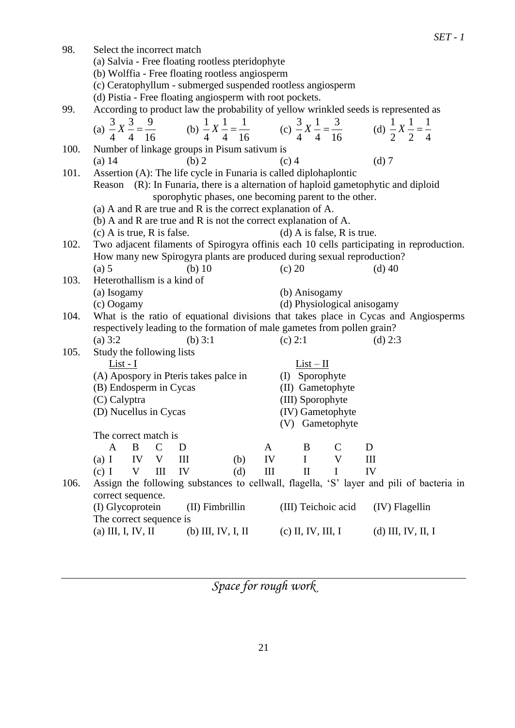|      |                                                                                                                                                                                    |                             | $SET - 1$            |  |  |  |  |  |  |
|------|------------------------------------------------------------------------------------------------------------------------------------------------------------------------------------|-----------------------------|----------------------|--|--|--|--|--|--|
| 98.  | Select the incorrect match                                                                                                                                                         |                             |                      |  |  |  |  |  |  |
|      | (a) Salvia - Free floating rootless pteridophyte                                                                                                                                   |                             |                      |  |  |  |  |  |  |
|      | (b) Wolffia - Free floating rootless angiosperm                                                                                                                                    |                             |                      |  |  |  |  |  |  |
|      | (c) Ceratophyllum - submerged suspended rootless angiosperm                                                                                                                        |                             |                      |  |  |  |  |  |  |
|      | (d) Pistia - Free floating angiosperm with root pockets.                                                                                                                           |                             |                      |  |  |  |  |  |  |
| 99.  | According to product law the probability of yellow wrinkled seeds is represented as                                                                                                |                             |                      |  |  |  |  |  |  |
|      |                                                                                                                                                                                    |                             |                      |  |  |  |  |  |  |
|      | (a) $\frac{3}{4}X\frac{3}{4} = \frac{9}{16}$ (b) $\frac{1}{4}X\frac{1}{4} = \frac{1}{16}$ (c) $\frac{3}{4}X\frac{1}{4} = \frac{3}{16}$ (d) $\frac{1}{2}X\frac{1}{2} = \frac{1}{4}$ |                             |                      |  |  |  |  |  |  |
| 100. | Number of linkage groups in Pisum sativum is                                                                                                                                       |                             |                      |  |  |  |  |  |  |
|      | (b) 2<br>$(a)$ 14                                                                                                                                                                  | $(c)$ 4                     | $(d)$ 7              |  |  |  |  |  |  |
| 101. | Assertion (A): The life cycle in Funaria is called diplohaplontic                                                                                                                  |                             |                      |  |  |  |  |  |  |
|      | Reason (R): In Funaria, there is a alternation of haploid gametophytic and diploid                                                                                                 |                             |                      |  |  |  |  |  |  |
|      | sporophytic phases, one becoming parent to the other.                                                                                                                              |                             |                      |  |  |  |  |  |  |
|      | (a) A and R are true and R is the correct explanation of A.                                                                                                                        |                             |                      |  |  |  |  |  |  |
|      | (b) A and R are true and R is not the correct explanation of A.                                                                                                                    |                             |                      |  |  |  |  |  |  |
|      | $(c)$ A is true, R is false.                                                                                                                                                       | (d) A is false, R is true.  |                      |  |  |  |  |  |  |
| 102. | Two adjacent filaments of Spirogyra offinis each 10 cells participating in reproduction.                                                                                           |                             |                      |  |  |  |  |  |  |
|      | How many new Spirogyra plants are produced during sexual reproduction?                                                                                                             |                             |                      |  |  |  |  |  |  |
|      | (a) 5<br>(b) $10$                                                                                                                                                                  | (c) 20                      | $(d)$ 40             |  |  |  |  |  |  |
| 103. | Heterothallism is a kind of                                                                                                                                                        |                             |                      |  |  |  |  |  |  |
|      | (a) Isogamy                                                                                                                                                                        | (b) Anisogamy               |                      |  |  |  |  |  |  |
|      | (c) Oogamy                                                                                                                                                                         | (d) Physiological anisogamy |                      |  |  |  |  |  |  |
| 104. | What is the ratio of equational divisions that takes place in Cycas and Angiosperms                                                                                                |                             |                      |  |  |  |  |  |  |
|      | respectively leading to the formation of male gametes from pollen grain?                                                                                                           |                             |                      |  |  |  |  |  |  |
|      | (a) $3:2$<br>(b) $3:1$                                                                                                                                                             | (c) 2:1                     | $(d)$ 2:3            |  |  |  |  |  |  |
| 105. | Study the following lists                                                                                                                                                          |                             |                      |  |  |  |  |  |  |
|      | List - I                                                                                                                                                                           | $List-II$                   |                      |  |  |  |  |  |  |
|      | (A) Apospory in Pteris takes palce in                                                                                                                                              | (I) Sporophyte              |                      |  |  |  |  |  |  |
|      | (B) Endosperm in Cycas                                                                                                                                                             | (II) Gametophyte            |                      |  |  |  |  |  |  |
|      | (C) Calyptra                                                                                                                                                                       | (III) Sporophyte            |                      |  |  |  |  |  |  |
|      | (D) Nucellus in Cycas                                                                                                                                                              | (IV) Gametophyte            |                      |  |  |  |  |  |  |
|      |                                                                                                                                                                                    | Gametophyte<br>(V)          |                      |  |  |  |  |  |  |
|      | The correct match is                                                                                                                                                               |                             |                      |  |  |  |  |  |  |
|      | B<br>$\mathcal{C}$<br>$\mathbf{A}$<br>D<br>A                                                                                                                                       | B<br>$\mathsf{C}$           | D                    |  |  |  |  |  |  |
|      | (a) I<br>IV<br>V<br>IV<br>(b)<br>Ш                                                                                                                                                 | $\mathbf I$<br>V            | Ш                    |  |  |  |  |  |  |
|      | III<br>$\mathbf V$<br>III<br>IV<br>$(c)$ I<br>(d)                                                                                                                                  | $\mathbf{I}$<br>$\bf{I}$    | IV                   |  |  |  |  |  |  |
| 106. | Assign the following substances to cellwall, flagella, 'S' layer and pili of bacteria in                                                                                           |                             |                      |  |  |  |  |  |  |
|      | correct sequence.<br>(I) Glycoprotein                                                                                                                                              | (III) Teichoic acid         | (IV) Flagellin       |  |  |  |  |  |  |
|      | (II) Fimbrillin<br>The correct sequence is                                                                                                                                         |                             |                      |  |  |  |  |  |  |
|      | (a) III, I, IV, II<br>$(b)$ III, IV, I, II                                                                                                                                         | $(c)$ II, IV, III, I        | $(d)$ III, IV, II, I |  |  |  |  |  |  |
|      |                                                                                                                                                                                    |                             |                      |  |  |  |  |  |  |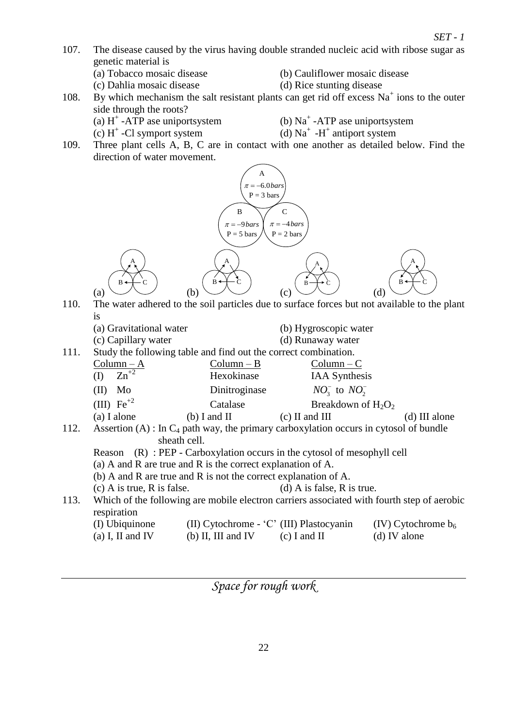- 107. The disease caused by the virus having double stranded nucleic acid with ribose sugar as genetic material is
	-
	-
	- (a) Tobacco mosaic disease (b) Cauliflower mosaic disease
	- (c) Dahlia mosaic disease (d) Rice stunting disease
- 108. By which mechanism the salt resistant plants can get rid off excess  $Na<sup>+</sup>$  ions to the outer side through the roots?
	- (a)  $H^+$ -ATP ase uniportsystem (b)  $Na^+$ 
		- (b)  $Na^+$  -ATP ase uniportsystem -H<sup>+</sup> antiport system
- $\text{(c) H}^+$ -Cl symport system (d) Na<sup>+</sup> 109. Three plant cells A, B, C are in contact with one another as detailed below. Find the direction of water movement.



- 110. The water adhered to the soil particles due to surface forces but not available to the plant is
	- (a) Gravitational water (b) Hygroscopic water
	- (c) Capillary water (d) Runaway water
- 111. Study the following table and find out the correct combination.

|      | $Column - A$           | $Column - B$   | $Column - C$                                                                             |                 |
|------|------------------------|----------------|------------------------------------------------------------------------------------------|-----------------|
|      | $Zn^{2}$<br>(I)        | Hexokinase     | <b>IAA</b> Synthesis                                                                     |                 |
|      | Mo<br>(II)             | Dinitroginase  | $NO3-$ to $NO2-$                                                                         |                 |
|      | (III) $\text{Fe}^{+2}$ | Catalase       | Breakdown of $H_2O_2$                                                                    |                 |
|      | $(a)$ I alone          | $(b)$ I and II | $(c)$ II and III                                                                         | $(d)$ III alone |
| 112. |                        |                | Assertion (A) : In $C_4$ path way, the primary carboxylation occurs in cytosol of bundle |                 |

- sheath cell.
- Reason (R) : PEP Carboxylation occurs in the cytosol of mesophyll cell
- (a) A and R are true and R is the correct explanation of A.
- (b) A and R are true and R is not the correct explanation of A.
- (c) A is true, R is false. (d) A is false, R is true.
- 113. Which of the following are mobile electron carriers associated with fourth step of aerobic respiration

| (I) Ubiquinone   | (II) Cytochrome - 'C' (III) Plastocyanin | (IV) Cytochrome $b_6$ |              |
|------------------|------------------------------------------|-----------------------|--------------|
| (a) I, II and IV | (b) II, III and IV                       | (c) I and II          | (d) IV alone |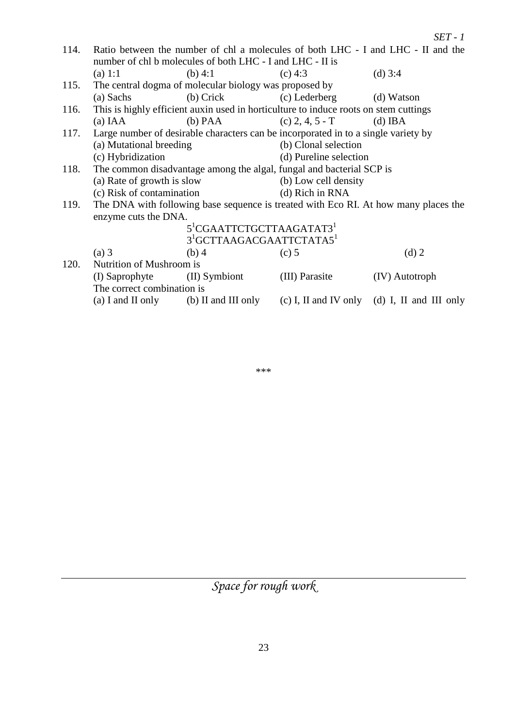|      |                                                           |                                                        |                                                                                      | $SET - 1$                                                                           |  |  |  |
|------|-----------------------------------------------------------|--------------------------------------------------------|--------------------------------------------------------------------------------------|-------------------------------------------------------------------------------------|--|--|--|
| 114. |                                                           |                                                        |                                                                                      | Ratio between the number of chl a molecules of both LHC - I and LHC - II and the    |  |  |  |
|      | number of chl b molecules of both LHC - I and LHC - II is |                                                        |                                                                                      |                                                                                     |  |  |  |
|      | (a) 1:1                                                   | $(b)$ 4:1                                              | $(c)$ 4:3                                                                            | (d) $3:4$                                                                           |  |  |  |
| 115. |                                                           | The central dogma of molecular biology was proposed by |                                                                                      |                                                                                     |  |  |  |
|      | (a) Sachs                                                 | $(b)$ Crick                                            | (c) Lederberg                                                                        | (d) Watson                                                                          |  |  |  |
| 116. |                                                           |                                                        | This is highly efficient auxin used in horticulture to induce roots on stem cuttings |                                                                                     |  |  |  |
|      | (a) IAA                                                   | $(b)$ PAA                                              | $(c)$ 2, 4, 5 - T                                                                    | $(d)$ IBA                                                                           |  |  |  |
| 117. |                                                           |                                                        | Large number of desirable characters can be incorporated in to a single variety by   |                                                                                     |  |  |  |
|      | (a) Mutational breeding                                   |                                                        | (b) Clonal selection                                                                 |                                                                                     |  |  |  |
|      | (c) Hybridization                                         |                                                        | (d) Pureline selection                                                               |                                                                                     |  |  |  |
| 118. |                                                           |                                                        | The common disadvantage among the algal, fungal and bacterial SCP is                 |                                                                                     |  |  |  |
|      | (a) Rate of growth is slow                                |                                                        | (b) Low cell density                                                                 |                                                                                     |  |  |  |
|      | (c) Risk of contamination                                 |                                                        | (d) Rich in RNA                                                                      |                                                                                     |  |  |  |
| 119. |                                                           |                                                        |                                                                                      | The DNA with following base sequence is treated with Eco RI. At how many places the |  |  |  |
|      | enzyme cuts the DNA.                                      |                                                        |                                                                                      |                                                                                     |  |  |  |
|      |                                                           | 5 <sup>1</sup> CGAATTCTGCTTAAGATAT3 <sup>1</sup>       |                                                                                      |                                                                                     |  |  |  |
|      |                                                           | 3 <sup>1</sup> GCTTAAGACGAATTCTATA5 <sup>1</sup>       |                                                                                      |                                                                                     |  |  |  |
|      | $(a)$ 3                                                   | $(b)$ 4                                                | $(c)$ 5                                                                              | $(d)$ 2                                                                             |  |  |  |
| 120. | Nutrition of Mushroom is                                  |                                                        |                                                                                      |                                                                                     |  |  |  |
|      | (I) Saprophyte                                            | (II) Symbiont                                          | (III) Parasite                                                                       | (IV) Autotroph                                                                      |  |  |  |
|      | The correct combination is                                |                                                        |                                                                                      |                                                                                     |  |  |  |
|      |                                                           |                                                        |                                                                                      | (a) I and II only (b) II and III only (c) I, II and IV only (d) I, II and III only  |  |  |  |

\*\*\*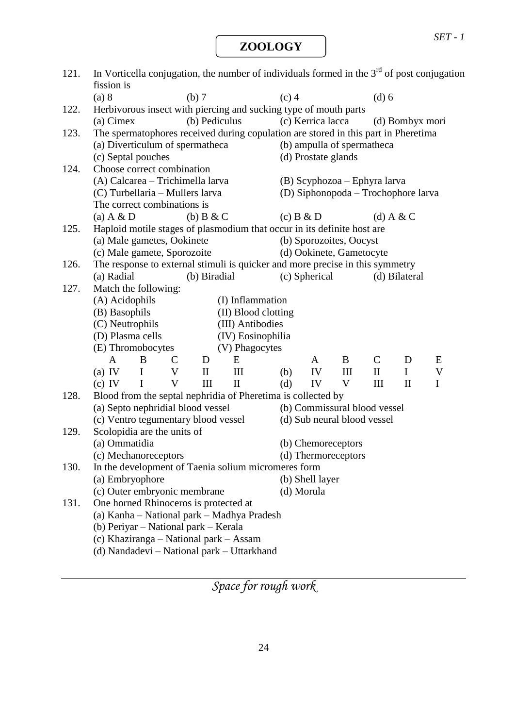*SET - 1*

**ZOOLOGY**

| 121. | fission is                                                               |                         |                                |               | In Vorticella conjugation, the number of individuals formed in the $3rd$ of post conjugation |         |                                                                        |                          |                                     |                 |                  |
|------|--------------------------------------------------------------------------|-------------------------|--------------------------------|---------------|----------------------------------------------------------------------------------------------|---------|------------------------------------------------------------------------|--------------------------|-------------------------------------|-----------------|------------------|
|      | (a) 8                                                                    |                         |                                | (b) 7         |                                                                                              | $(c)$ 4 |                                                                        |                          | $(d)$ 6                             |                 |                  |
| 122. |                                                                          |                         |                                |               | Herbivorous insect with piercing and sucking type of mouth parts                             |         |                                                                        |                          |                                     |                 |                  |
|      | (a) Cimex                                                                |                         |                                | (b) Pediculus |                                                                                              |         | (c) Kerrica lacca                                                      |                          |                                     | (d) Bombyx mori |                  |
| 123. |                                                                          |                         |                                |               | The spermatophores received during copulation are stored in this part in Pheretima           |         |                                                                        |                          |                                     |                 |                  |
|      | (a) Diverticulum of spermatheca                                          |                         |                                |               |                                                                                              |         |                                                                        |                          | (b) ampulla of spermatheca          |                 |                  |
|      | (c) Septal pouches                                                       |                         |                                |               |                                                                                              |         | (d) Prostate glands                                                    |                          |                                     |                 |                  |
| 124. | Choose correct combination                                               |                         |                                |               |                                                                                              |         |                                                                        |                          |                                     |                 |                  |
|      | (A) Calcarea - Trichimella larva                                         |                         |                                |               |                                                                                              |         |                                                                        |                          | (B) Scyphozoa – Ephyra larva        |                 |                  |
|      | (C) Turbellaria - Mullers larva                                          |                         |                                |               |                                                                                              |         |                                                                        |                          | (D) Siphonopoda – Trochophore larva |                 |                  |
|      | The correct combinations is                                              |                         |                                |               |                                                                                              |         |                                                                        |                          |                                     |                 |                  |
|      | (a) $A & D$                                                              |                         |                                | (b) $B & C$   |                                                                                              |         | $(c)$ B & D                                                            |                          |                                     | (d) A & C       |                  |
| 125. |                                                                          |                         |                                |               | Haploid motile stages of plasmodium that occur in its definite host are                      |         |                                                                        |                          |                                     |                 |                  |
|      | (a) Male gametes, Ookinete                                               |                         |                                |               |                                                                                              |         |                                                                        | (b) Sporozoites, Oocyst  |                                     |                 |                  |
|      | (c) Male gamete, Sporozoite                                              |                         |                                |               |                                                                                              |         |                                                                        | (d) Ookinete, Gametocyte |                                     |                 |                  |
| 126. |                                                                          |                         |                                |               | The response to external stimuli is quicker and more precise in this symmetry                |         |                                                                        |                          |                                     |                 |                  |
|      | (a) Radial                                                               |                         |                                | (b) Biradial  |                                                                                              |         | (c) Spherical                                                          |                          |                                     | (d) Bilateral   |                  |
| 127. | Match the following:                                                     |                         |                                |               |                                                                                              |         |                                                                        |                          |                                     |                 |                  |
|      | (A) Acidophils                                                           |                         |                                |               | (I) Inflammation                                                                             |         |                                                                        |                          |                                     |                 |                  |
|      | (B) Basophils                                                            |                         |                                |               | (II) Blood clotting                                                                          |         |                                                                        |                          |                                     |                 |                  |
|      | (C) Neutrophils                                                          |                         |                                |               | (III) Antibodies                                                                             |         |                                                                        |                          |                                     |                 |                  |
|      | (D) Plasma cells                                                         |                         |                                |               | (IV) Eosinophilia                                                                            |         |                                                                        |                          |                                     |                 |                  |
|      | (E) Thromobocytes                                                        |                         |                                |               | (V) Phagocytes                                                                               |         |                                                                        |                          |                                     |                 |                  |
|      | $\mathbf{A}$                                                             | B                       | $\mathsf{C}$                   | D             | E                                                                                            |         | $\mathbf{A}$                                                           | B                        | $\mathsf{C}$                        | D               | E                |
|      | (a) IV                                                                   | $\bf{I}$<br>$\mathbf I$ | $\boldsymbol{\mathrm{V}}$<br>V | $\mathbf{I}$  | III                                                                                          | (b)     | IV                                                                     | III                      | $\mathbf{I}$                        | $\mathbf I$     | V<br>$\mathbf I$ |
|      | $(c)$ IV                                                                 |                         |                                | III           | $\mathbf{I}$                                                                                 | (d)     | IV                                                                     | V                        | III                                 | $\mathbf{I}$    |                  |
| 128. |                                                                          |                         |                                |               | Blood from the septal nephridia of Pheretima is collected by                                 |         |                                                                        |                          | (b) Commissural blood vessel        |                 |                  |
|      | (a) Septo nephridial blood vessel<br>(c) Ventro tegumentary blood vessel |                         |                                |               |                                                                                              |         |                                                                        |                          | (d) Sub neural blood vessel         |                 |                  |
| 129. | Scolopidia are the units of                                              |                         |                                |               |                                                                                              |         |                                                                        |                          |                                     |                 |                  |
|      | (a) Ommatidia                                                            |                         |                                |               |                                                                                              |         |                                                                        |                          |                                     |                 |                  |
|      | (c) Mechanoreceptors                                                     |                         |                                |               |                                                                                              |         | (b) Chemoreceptors<br>(d) Thermoreceptors                              |                          |                                     |                 |                  |
| 130. |                                                                          |                         |                                |               |                                                                                              |         |                                                                        |                          |                                     |                 |                  |
|      | (a) Embryophore                                                          |                         |                                |               |                                                                                              |         | In the development of Taenia solium micromeres form<br>(b) Shell layer |                          |                                     |                 |                  |
|      | (c) Outer embryonic membrane                                             |                         |                                |               |                                                                                              |         | (d) Morula                                                             |                          |                                     |                 |                  |
| 131. | One horned Rhinoceros is protected at                                    |                         |                                |               |                                                                                              |         |                                                                        |                          |                                     |                 |                  |
|      |                                                                          |                         |                                |               | (a) Kanha – National park – Madhya Pradesh                                                   |         |                                                                        |                          |                                     |                 |                  |
|      | (b) Periyar – National park – Kerala                                     |                         |                                |               |                                                                                              |         |                                                                        |                          |                                     |                 |                  |
|      |                                                                          |                         |                                |               | (c) Khaziranga – National park – Assam                                                       |         |                                                                        |                          |                                     |                 |                  |
|      |                                                                          |                         |                                |               | (d) Nandadevi – National park – Uttarkhand                                                   |         |                                                                        |                          |                                     |                 |                  |
|      |                                                                          |                         |                                |               |                                                                                              |         |                                                                        |                          |                                     |                 |                  |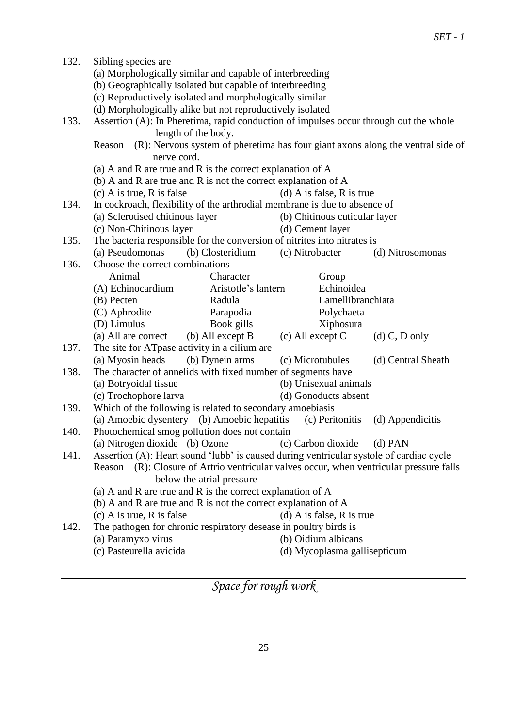| 132. | Sibling species are                                                                                          |                           |                              |                    |  |  |  |  |
|------|--------------------------------------------------------------------------------------------------------------|---------------------------|------------------------------|--------------------|--|--|--|--|
|      | (a) Morphologically similar and capable of interbreeding                                                     |                           |                              |                    |  |  |  |  |
|      | (b) Geographically isolated but capable of interbreeding                                                     |                           |                              |                    |  |  |  |  |
|      | (c) Reproductively isolated and morphologically similar                                                      |                           |                              |                    |  |  |  |  |
|      | (d) Morphologically alike but not reproductively isolated                                                    |                           |                              |                    |  |  |  |  |
| 133. |                                                                                                              |                           |                              |                    |  |  |  |  |
|      | Assertion (A): In Pheretima, rapid conduction of impulses occur through out the whole<br>length of the body. |                           |                              |                    |  |  |  |  |
|      | (R): Nervous system of pheretima has four giant axons along the ventral side of<br>Reason                    |                           |                              |                    |  |  |  |  |
|      | nerve cord.                                                                                                  |                           |                              |                    |  |  |  |  |
|      | (a) A and R are true and R is the correct explanation of A                                                   |                           |                              |                    |  |  |  |  |
|      | (b) A and R are true and R is not the correct explanation of $A$                                             |                           |                              |                    |  |  |  |  |
|      | $(c)$ A is true, R is false                                                                                  | (d) A is false, R is true |                              |                    |  |  |  |  |
| 134. | In cockroach, flexibility of the arthrodial membrane is due to absence of                                    |                           |                              |                    |  |  |  |  |
|      | (a) Sclerotised chitinous layer<br>(b) Chitinous cuticular layer                                             |                           |                              |                    |  |  |  |  |
|      | (c) Non-Chitinous layer<br>(d) Cement layer                                                                  |                           |                              |                    |  |  |  |  |
| 135. | The bacteria responsible for the conversion of nitrites into nitrates is                                     |                           |                              |                    |  |  |  |  |
|      | (a) Pseudomonas                                                                                              | (b) Closteridium          | (c) Nitrobacter              | (d) Nitrosomonas   |  |  |  |  |
| 136. | Choose the correct combinations                                                                              |                           |                              |                    |  |  |  |  |
|      | Animal                                                                                                       | Character                 | Group                        |                    |  |  |  |  |
|      | (A) Echinocardium                                                                                            | Aristotle's lantern       | Echinoidea                   |                    |  |  |  |  |
|      | (B) Pecten                                                                                                   | Radula                    |                              | Lamellibranchiata  |  |  |  |  |
|      | (C) Aphrodite                                                                                                | Parapodia                 | Polychaeta                   |                    |  |  |  |  |
|      | (D) Limulus                                                                                                  | Book gills                | Xiphosura                    |                    |  |  |  |  |
|      | (a) All are correct                                                                                          | (b) All except B          | $(c)$ All except C           | $(d)$ C, D only    |  |  |  |  |
| 137. | The site for ATpase activity in a cilium are                                                                 |                           |                              |                    |  |  |  |  |
|      | (a) Myosin heads                                                                                             | (b) Dynein arms           | (c) Microtubules             | (d) Central Sheath |  |  |  |  |
| 138. | The character of annelids with fixed number of segments have                                                 |                           |                              |                    |  |  |  |  |
|      | (a) Botryoidal tissue                                                                                        |                           | (b) Unisexual animals        |                    |  |  |  |  |
|      | (c) Trochophore larva                                                                                        |                           | (d) Gonoducts absent         |                    |  |  |  |  |
| 139. | Which of the following is related to secondary amoebiasis                                                    |                           |                              |                    |  |  |  |  |
|      | (a) Amoebic dysentery (b) Amoebic hepatitis<br>(c) Peritonitis<br>(d) Appendicitis                           |                           |                              |                    |  |  |  |  |
| 140. | Photochemical smog pollution does not contain                                                                |                           |                              |                    |  |  |  |  |
|      | (a) Nitrogen dioxide (b) Ozone (c) Carbon dioxide (d) PAN                                                    |                           |                              |                    |  |  |  |  |
| 141. | Assertion (A): Heart sound 'lubb' is caused during ventricular systole of cardiac cycle                      |                           |                              |                    |  |  |  |  |
|      | (R): Closure of Artrio ventricular valves occur, when ventricular pressure falls<br>Reason                   |                           |                              |                    |  |  |  |  |
|      | below the atrial pressure                                                                                    |                           |                              |                    |  |  |  |  |
|      | (a) A and R are true and R is the correct explanation of A                                                   |                           |                              |                    |  |  |  |  |
|      | (b) A and R are true and R is not the correct explanation of A                                               |                           |                              |                    |  |  |  |  |
|      | $(c)$ A is true, R is false                                                                                  |                           | $(d)$ A is false, R is true  |                    |  |  |  |  |
| 142. | The pathogen for chronic respiratory desease in poultry birds is                                             |                           |                              |                    |  |  |  |  |
|      | (a) Paramyxo virus                                                                                           |                           | (b) Oidium albicans          |                    |  |  |  |  |
|      | (c) Pasteurella avicida                                                                                      |                           | (d) Mycoplasma gallisepticum |                    |  |  |  |  |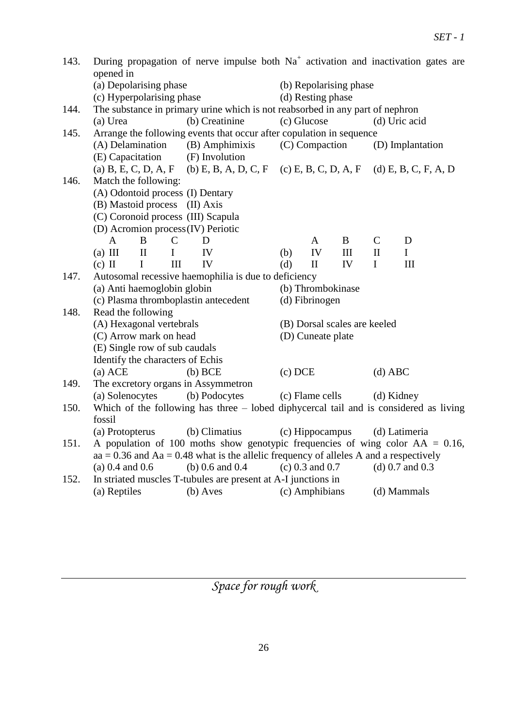| 143. | During propagation of nerve impulse both $Na+$ activation and inactivation gates are<br>opened in |                                                                                           |               |                     |                        |                   |                              |                   |     |               |                                                                                     |                   |  |  |
|------|---------------------------------------------------------------------------------------------------|-------------------------------------------------------------------------------------------|---------------|---------------------|------------------------|-------------------|------------------------------|-------------------|-----|---------------|-------------------------------------------------------------------------------------|-------------------|--|--|
|      | (a) Depolarising phase                                                                            |                                                                                           |               |                     | (b) Repolarising phase |                   |                              |                   |     |               |                                                                                     |                   |  |  |
|      |                                                                                                   | (c) Hyperpolarising phase                                                                 |               |                     |                        | (d) Resting phase |                              |                   |     |               |                                                                                     |                   |  |  |
| 144. | The substance in primary urine which is not reabsorbed in any part of nephron                     |                                                                                           |               |                     |                        |                   |                              |                   |     |               |                                                                                     |                   |  |  |
|      | (b) Creatinine<br>(a) Urea                                                                        |                                                                                           |               |                     |                        |                   | (c) Glucose                  |                   |     | (d) Uric acid |                                                                                     |                   |  |  |
| 145. | Arrange the following events that occur after copulation in sequence                              |                                                                                           |               |                     |                        |                   |                              |                   |     |               |                                                                                     |                   |  |  |
|      | (A) Delamination (B) Amphimixis                                                                   |                                                                                           |               |                     |                        |                   | (C) Compaction               |                   |     |               | (D) Implantation                                                                    |                   |  |  |
|      | (E) Capacitation                                                                                  |                                                                                           |               | (F) Involution      |                        |                   |                              |                   |     |               |                                                                                     |                   |  |  |
|      |                                                                                                   |                                                                                           |               |                     |                        |                   |                              |                   |     |               | (a) B, E, C, D, A, F (b) E, B, A, D, C, F (c) E, B, C, D, A, F (d) E, B, C, F, A, D |                   |  |  |
| 146. | Match the following:                                                                              |                                                                                           |               |                     |                        |                   |                              |                   |     |               |                                                                                     |                   |  |  |
|      | (A) Odontoid process (I) Dentary                                                                  |                                                                                           |               |                     |                        |                   |                              |                   |     |               |                                                                                     |                   |  |  |
|      | (B) Mastoid process (II) Axis                                                                     |                                                                                           |               |                     |                        |                   |                              |                   |     |               |                                                                                     |                   |  |  |
|      | (C) Coronoid process (III) Scapula                                                                |                                                                                           |               |                     |                        |                   |                              |                   |     |               |                                                                                     |                   |  |  |
|      | (D) Acromion process (IV) Periotic                                                                |                                                                                           |               |                     |                        |                   |                              |                   |     |               |                                                                                     |                   |  |  |
|      | $\mathbf{A}$                                                                                      | B                                                                                         | $\mathcal{C}$ | D                   |                        |                   |                              | A                 | B   | $\mathsf{C}$  |                                                                                     | D                 |  |  |
|      | $(a)$ III                                                                                         | $\mathbf{I}$                                                                              | $\mathbf I$   | IV                  |                        |                   | (b)                          | IV                | III | $\mathbf{I}$  |                                                                                     | $\mathbf I$       |  |  |
|      | $(c)$ II                                                                                          | $\mathbf{I}$                                                                              | III           | IV                  |                        |                   | (d)                          | $\mathbf{I}$      | IV  | $\mathbf I$   |                                                                                     | III               |  |  |
| 147. | Autosomal recessive haemophilia is due to deficiency                                              |                                                                                           |               |                     |                        |                   |                              |                   |     |               |                                                                                     |                   |  |  |
|      | (a) Anti haemoglobin globin                                                                       |                                                                                           |               |                     |                        |                   | (b) Thrombokinase            |                   |     |               |                                                                                     |                   |  |  |
|      |                                                                                                   | (c) Plasma thromboplastin antecedent                                                      |               |                     |                        |                   | (d) Fibrinogen               |                   |     |               |                                                                                     |                   |  |  |
| 148. | Read the following                                                                                |                                                                                           |               |                     |                        |                   |                              |                   |     |               |                                                                                     |                   |  |  |
|      | (A) Hexagonal vertebrals                                                                          |                                                                                           |               |                     |                        |                   | (B) Dorsal scales are keeled |                   |     |               |                                                                                     |                   |  |  |
|      | (C) Arrow mark on head                                                                            |                                                                                           |               |                     | (D) Cuneate plate      |                   |                              |                   |     |               |                                                                                     |                   |  |  |
|      | (E) Single row of sub caudals                                                                     |                                                                                           |               |                     |                        |                   |                              |                   |     |               |                                                                                     |                   |  |  |
|      | Identify the characters of Echis                                                                  |                                                                                           |               |                     |                        |                   |                              |                   |     |               |                                                                                     |                   |  |  |
|      | $(a)$ ACE                                                                                         |                                                                                           |               | $(b)$ BCE           |                        |                   | $(c)$ DCE                    |                   |     | $(d)$ ABC     |                                                                                     |                   |  |  |
| 149. | The excretory organs in Assymmetron                                                               |                                                                                           |               |                     |                        |                   |                              |                   |     |               |                                                                                     |                   |  |  |
|      | (a) Solenocytes<br>(b) Podocytes<br>(c) Flame cells (d) Kidney                                    |                                                                                           |               |                     |                        |                   |                              |                   |     |               |                                                                                     |                   |  |  |
| 150. | Which of the following has three – lobed diphycercal tail and is considered as living             |                                                                                           |               |                     |                        |                   |                              |                   |     |               |                                                                                     |                   |  |  |
|      | fossil                                                                                            |                                                                                           |               |                     |                        |                   |                              |                   |     |               |                                                                                     |                   |  |  |
|      | (a) Protopterus                                                                                   |                                                                                           |               | (b) Climatius       |                        |                   |                              | (c) Hippocampus   |     |               |                                                                                     | (d) Latimeria     |  |  |
| 151. | A population of 100 moths show genotypic frequencies of wing color $AA = 0.16$ ,                  |                                                                                           |               |                     |                        |                   |                              |                   |     |               |                                                                                     |                   |  |  |
|      |                                                                                                   | $aa = 0.36$ and $Aa = 0.48$ what is the allelic frequency of alleles A and a respectively |               |                     |                        |                   |                              |                   |     |               |                                                                                     |                   |  |  |
|      | $(a) 0.4$ and 0.6                                                                                 |                                                                                           |               | (b) $0.6$ and $0.4$ |                        |                   |                              | $(c)$ 0.3 and 0.7 |     |               |                                                                                     | $(d)$ 0.7 and 0.3 |  |  |
| 152. | In striated muscles T-tubules are present at A-I junctions in                                     |                                                                                           |               |                     |                        |                   |                              |                   |     |               |                                                                                     |                   |  |  |
|      | (a) Reptiles                                                                                      |                                                                                           |               | $(b)$ Aves          |                        |                   |                              | (c) Amphibians    |     |               |                                                                                     | (d) Mammals       |  |  |
|      |                                                                                                   |                                                                                           |               |                     |                        |                   |                              |                   |     |               |                                                                                     |                   |  |  |